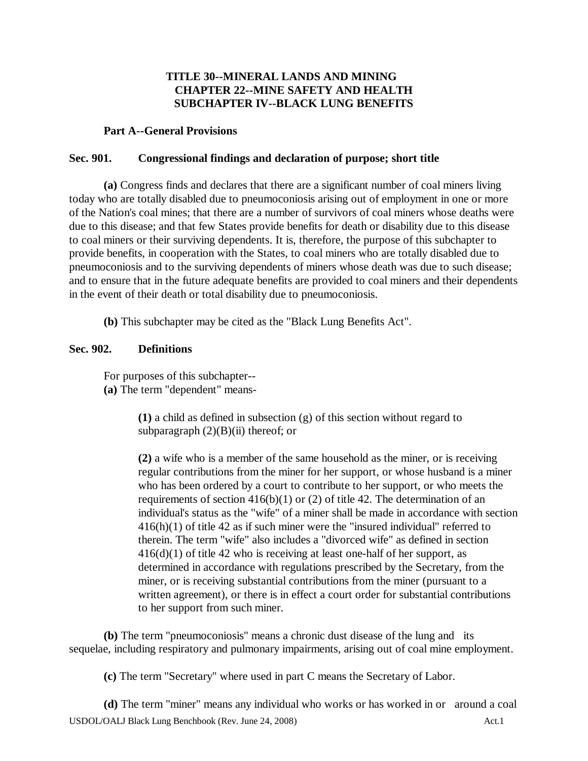## **TITLE 30--MINERAL LANDS AND MINING CHAPTER 22--MINE SAFETY AND HEALTH SUBCHAPTER IV--BLACK LUNG BENEFITS**

#### **Part A--General Provisions**

#### **Sec. 901. Congressional findings and declaration of purpose; short title**

**(a)** Congress finds and declares that there are a significant number of coal miners living today who are totally disabled due to pneumoconiosis arising out of employment in one or more of the Nation's coal mines; that there are a number of survivors of coal miners whose deaths were due to this disease; and that few States provide benefits for death or disability due to this disease to coal miners or their surviving dependents. It is, therefore, the purpose of this subchapter to provide benefits, in cooperation with the States, to coal miners who are totally disabled due to pneumoconiosis and to the surviving dependents of miners whose death was due to such disease; and to ensure that in the future adequate benefits are provided to coal miners and their dependents in the event of their death or total disability due to pneumoconiosis.

**(b)** This subchapter may be cited as the "Black Lung Benefits Act".

#### **Sec. 902. Definitions**

For purposes of this subchapter--

**(a)** The term "dependent" means-

**(1)** a child as defined in subsection (g) of this section without regard to subparagraph  $(2)(B)(ii)$  thereof; or

**(2)** a wife who is a member of the same household as the miner, or is receiving regular contributions from the miner for her support, or whose husband is a miner who has been ordered by a court to contribute to her support, or who meets the requirements of section  $416(b)(1)$  or (2) of title 42. The determination of an individual's status as the "wife" of a miner shall be made in accordance with section  $416(h)(1)$  of title 42 as if such miner were the "insured individual" referred to therein. The term "wife" also includes a "divorced wife" as defined in section  $416(d)(1)$  of title 42 who is receiving at least one-half of her support, as determined in accordance with regulations prescribed by the Secretary, from the miner, or is receiving substantial contributions from the miner (pursuant to a written agreement), or there is in effect a court order for substantial contributions to her support from such miner.

**(b)** The term "pneumoconiosis" means a chronic dust disease of the lung and its sequelae, including respiratory and pulmonary impairments, arising out of coal mine employment.

**(c)** The term "Secretary" where used in part C means the Secretary of Labor.

USDOL/OALJ Black Lung Benchbook (Rev. June 24, 2008)  $\text{Act.1}$ **(d)** The term "miner" means any individual who works or has worked in or around a coal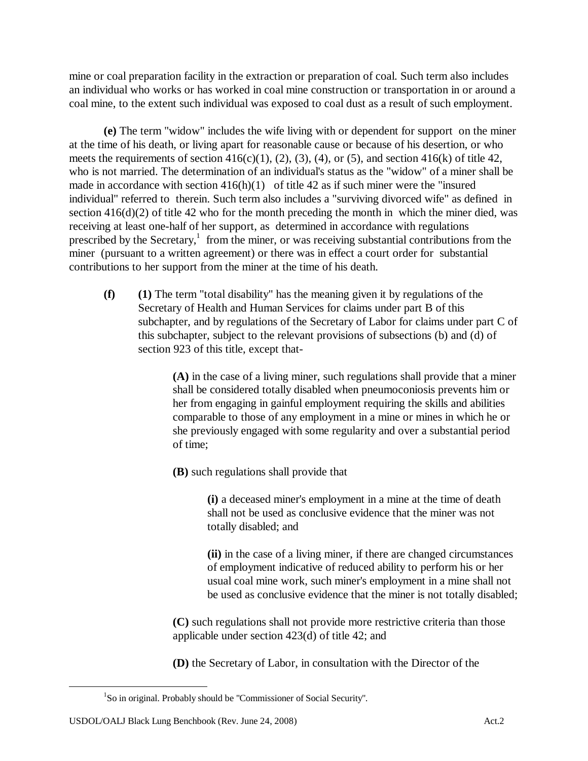mine or coal preparation facility in the extraction or preparation of coal. Such term also includes an individual who works or has worked in coal mine construction or transportation in or around a coal mine, to the extent such individual was exposed to coal dust as a result of such employment.

**(e)** The term "widow" includes the wife living with or dependent for support on the miner at the time of his death, or living apart for reasonable cause or because of his desertion, or who meets the requirements of section  $416(c)(1)$ ,  $(2)$ ,  $(3)$ ,  $(4)$ , or  $(5)$ , and section  $416(k)$  of title 42, who is not married. The determination of an individual's status as the "widow" of a miner shall be made in accordance with section 416(h)(1) of title 42 as if such miner were the "insured individual" referred to therein. Such term also includes a "surviving divorced wife" as defined in section  $416(d)(2)$  of title 42 who for the month preceding the month in which the miner died, was receiving at least one-half of her support, as determined in accordance with regulations prescribed by the Secretary, $\frac{1}{1}$  from the miner, or was receiving substantial contributions from the miner (pursuant to a written agreement) or there was in effect a court order for substantial contributions to her support from the miner at the time of his death.

**(f) (1)** The term "total disability" has the meaning given it by regulations of the Secretary of Health and Human Services for claims under part B of this subchapter, and by regulations of the Secretary of Labor for claims under part C of this subchapter, subject to the relevant provisions of subsections (b) and (d) of section 923 of this title, except that-

> **(A)** in the case of a living miner, such regulations shall provide that a miner shall be considered totally disabled when pneumoconiosis prevents him or her from engaging in gainful employment requiring the skills and abilities comparable to those of any employment in a mine or mines in which he or she previously engaged with some regularity and over a substantial period of time;

**(B)** such regulations shall provide that

**(i)** a deceased miner's employment in a mine at the time of death shall not be used as conclusive evidence that the miner was not totally disabled; and

**(ii)** in the case of a living miner, if there are changed circumstances of employment indicative of reduced ability to perform his or her usual coal mine work, such miner's employment in a mine shall not be used as conclusive evidence that the miner is not totally disabled;

**(C)** such regulations shall not provide more restrictive criteria than those applicable under section 423(d) of title 42; and

**(D)** the Secretary of Labor, in consultation with the Director of the

<sup>&</sup>lt;sup>1</sup>So in original. Probably should be "Commissioner of Social Security".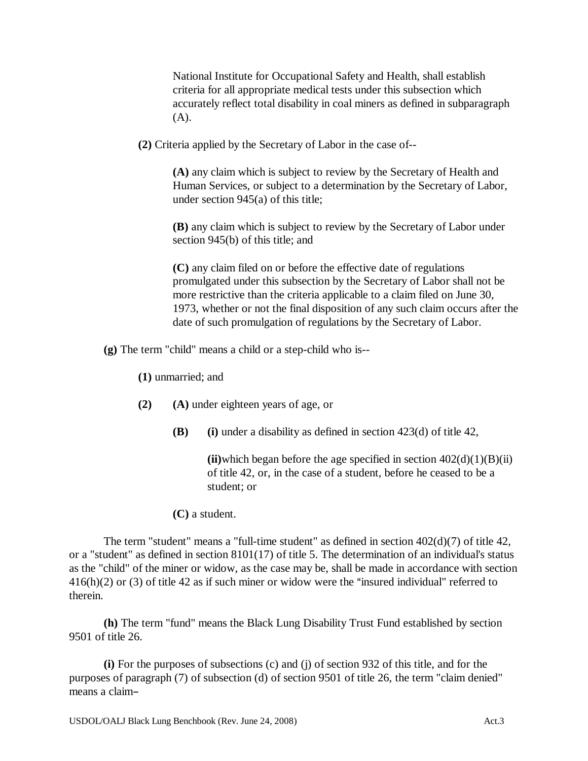National Institute for Occupational Safety and Health, shall establish criteria for all appropriate medical tests under this subsection which accurately reflect total disability in coal miners as defined in subparagraph (A).

**(2)** Criteria applied by the Secretary of Labor in the case of--

**(A)** any claim which is subject to review by the Secretary of Health and Human Services, or subject to a determination by the Secretary of Labor, under section 945(a) of this title;

**(B)** any claim which is subject to review by the Secretary of Labor under section 945(b) of this title; and

**(C)** any claim filed on or before the effective date of regulations promulgated under this subsection by the Secretary of Labor shall not be more restrictive than the criteria applicable to a claim filed on June 30, 1973, whether or not the final disposition of any such claim occurs after the date of such promulgation of regulations by the Secretary of Labor.

**(g)** The term "child" means a child or a step-child who is--

**(1)** unmarried; and

**(2) (A)** under eighteen years of age, or

**(B) (i)** under a disability as defined in section 423(d) of title 42,

 $(iii)$ which began before the age specified in section  $402(d)(1)(B)(ii)$ of title 42, or, in the case of a student, before he ceased to be a student; or

**(C)** a student.

The term "student" means a "full-time student" as defined in section  $402(d)(7)$  of title 42, or a "student" as defined in section 8101(17) of title 5. The determination of an individual's status as the "child" of the miner or widow, as the case may be, shall be made in accordance with section  $416(h)(2)$  or (3) of title 42 as if such miner or widow were the "insured individual" referred to therein.

**(h)** The term "fund" means the Black Lung Disability Trust Fund established by section 9501 of title 26.

**(i)** For the purposes of subsections (c) and (j) of section 932 of this title, and for the purposes of paragraph (7) of subsection (d) of section 9501 of title 26, the term "claim denied" means a claim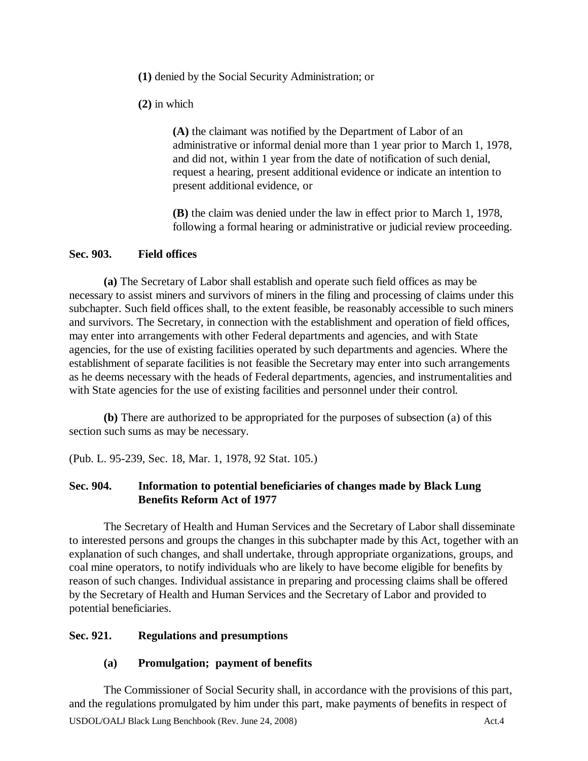**(1)** denied by the Social Security Administration; or

**(2)** in which

**(A)** the claimant was notified by the Department of Labor of an administrative or informal denial more than 1 year prior to March 1, 1978, and did not, within 1 year from the date of notification of such denial, request a hearing, present additional evidence or indicate an intention to present additional evidence, or

**(B)** the claim was denied under the law in effect prior to March 1, 1978, following a formal hearing or administrative or judicial review proceeding.

## **Sec. 903. Field offices**

**(a)** The Secretary of Labor shall establish and operate such field offices as may be necessary to assist miners and survivors of miners in the filing and processing of claims under this subchapter. Such field offices shall, to the extent feasible, be reasonably accessible to such miners and survivors. The Secretary, in connection with the establishment and operation of field offices, may enter into arrangements with other Federal departments and agencies, and with State agencies, for the use of existing facilities operated by such departments and agencies. Where the establishment of separate facilities is not feasible the Secretary may enter into such arrangements as he deems necessary with the heads of Federal departments, agencies, and instrumentalities and with State agencies for the use of existing facilities and personnel under their control.

**(b)** There are authorized to be appropriated for the purposes of subsection (a) of this section such sums as may be necessary.

(Pub. L. 95-239, Sec. 18, Mar. 1, 1978, 92 Stat. 105.)

## **Sec. 904. Information to potential beneficiaries of changes made by Black Lung Benefits Reform Act of 1977**

The Secretary of Health and Human Services and the Secretary of Labor shall disseminate to interested persons and groups the changes in this subchapter made by this Act, together with an explanation of such changes, and shall undertake, through appropriate organizations, groups, and coal mine operators, to notify individuals who are likely to have become eligible for benefits by reason of such changes. Individual assistance in preparing and processing claims shall be offered by the Secretary of Health and Human Services and the Secretary of Labor and provided to potential beneficiaries.

## **Sec. 921. Regulations and presumptions**

## **(a) Promulgation; payment of benefits**

The Commissioner of Social Security shall, in accordance with the provisions of this part, and the regulations promulgated by him under this part, make payments of benefits in respect of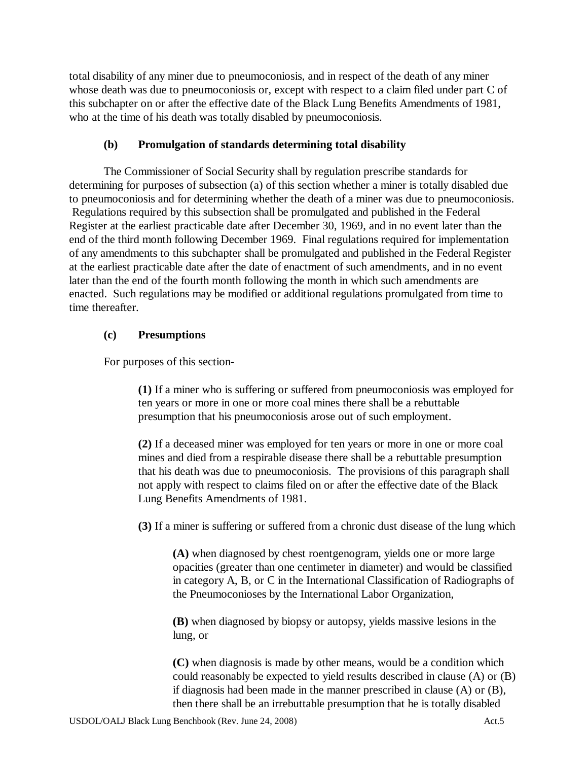total disability of any miner due to pneumoconiosis, and in respect of the death of any miner whose death was due to pneumoconiosis or, except with respect to a claim filed under part C of this subchapter on or after the effective date of the Black Lung Benefits Amendments of 1981, who at the time of his death was totally disabled by pneumoconiosis.

#### **(b) Promulgation of standards determining total disability**

The Commissioner of Social Security shall by regulation prescribe standards for determining for purposes of subsection (a) of this section whether a miner is totally disabled due to pneumoconiosis and for determining whether the death of a miner was due to pneumoconiosis. Regulations required by this subsection shall be promulgated and published in the Federal Register at the earliest practicable date after December 30, 1969, and in no event later than the end of the third month following December 1969. Final regulations required for implementation of any amendments to this subchapter shall be promulgated and published in the Federal Register at the earliest practicable date after the date of enactment of such amendments, and in no event later than the end of the fourth month following the month in which such amendments are enacted. Such regulations may be modified or additional regulations promulgated from time to time thereafter.

#### **(c) Presumptions**

For purposes of this section-

**(1)** If a miner who is suffering or suffered from pneumoconiosis was employed for ten years or more in one or more coal mines there shall be a rebuttable presumption that his pneumoconiosis arose out of such employment.

**(2)** If a deceased miner was employed for ten years or more in one or more coal mines and died from a respirable disease there shall be a rebuttable presumption that his death was due to pneumoconiosis. The provisions of this paragraph shall not apply with respect to claims filed on or after the effective date of the Black Lung Benefits Amendments of 1981.

**(3)** If a miner is suffering or suffered from a chronic dust disease of the lung which

**(A)** when diagnosed by chest roentgenogram, yields one or more large opacities (greater than one centimeter in diameter) and would be classified in category A, B, or C in the International Classification of Radiographs of the Pneumoconioses by the International Labor Organization,

**(B)** when diagnosed by biopsy or autopsy, yields massive lesions in the lung, or

**(C)** when diagnosis is made by other means, would be a condition which could reasonably be expected to yield results described in clause (A) or (B) if diagnosis had been made in the manner prescribed in clause (A) or (B), then there shall be an irrebuttable presumption that he is totally disabled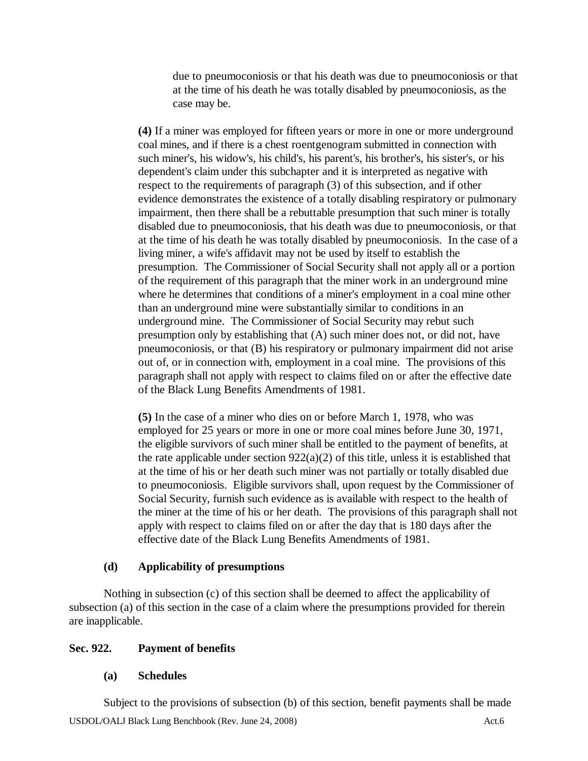due to pneumoconiosis or that his death was due to pneumoconiosis or that at the time of his death he was totally disabled by pneumoconiosis, as the case may be.

**(4)** If a miner was employed for fifteen years or more in one or more underground coal mines, and if there is a chest roentgenogram submitted in connection with such miner's, his widow's, his child's, his parent's, his brother's, his sister's, or his dependent's claim under this subchapter and it is interpreted as negative with respect to the requirements of paragraph (3) of this subsection, and if other evidence demonstrates the existence of a totally disabling respiratory or pulmonary impairment, then there shall be a rebuttable presumption that such miner is totally disabled due to pneumoconiosis, that his death was due to pneumoconiosis, or that at the time of his death he was totally disabled by pneumoconiosis. In the case of a living miner, a wife's affidavit may not be used by itself to establish the presumption. The Commissioner of Social Security shall not apply all or a portion of the requirement of this paragraph that the miner work in an underground mine where he determines that conditions of a miner's employment in a coal mine other than an underground mine were substantially similar to conditions in an underground mine. The Commissioner of Social Security may rebut such presumption only by establishing that (A) such miner does not, or did not, have pneumoconiosis, or that (B) his respiratory or pulmonary impairment did not arise out of, or in connection with, employment in a coal mine. The provisions of this paragraph shall not apply with respect to claims filed on or after the effective date of the Black Lung Benefits Amendments of 1981.

**(5)** In the case of a miner who dies on or before March 1, 1978, who was employed for 25 years or more in one or more coal mines before June 30, 1971, the eligible survivors of such miner shall be entitled to the payment of benefits, at the rate applicable under section  $922(a)(2)$  of this title, unless it is established that at the time of his or her death such miner was not partially or totally disabled due to pneumoconiosis. Eligible survivors shall, upon request by the Commissioner of Social Security, furnish such evidence as is available with respect to the health of the miner at the time of his or her death. The provisions of this paragraph shall not apply with respect to claims filed on or after the day that is 180 days after the effective date of the Black Lung Benefits Amendments of 1981.

#### **(d) Applicability of presumptions**

Nothing in subsection (c) of this section shall be deemed to affect the applicability of subsection (a) of this section in the case of a claim where the presumptions provided for therein are inapplicable.

#### **Sec. 922. Payment of benefits**

#### **(a) Schedules**

USDOL/OALJ Black Lung Benchbook (Rev. June 24, 2008)  $\text{Act.6}$ Subject to the provisions of subsection (b) of this section, benefit payments shall be made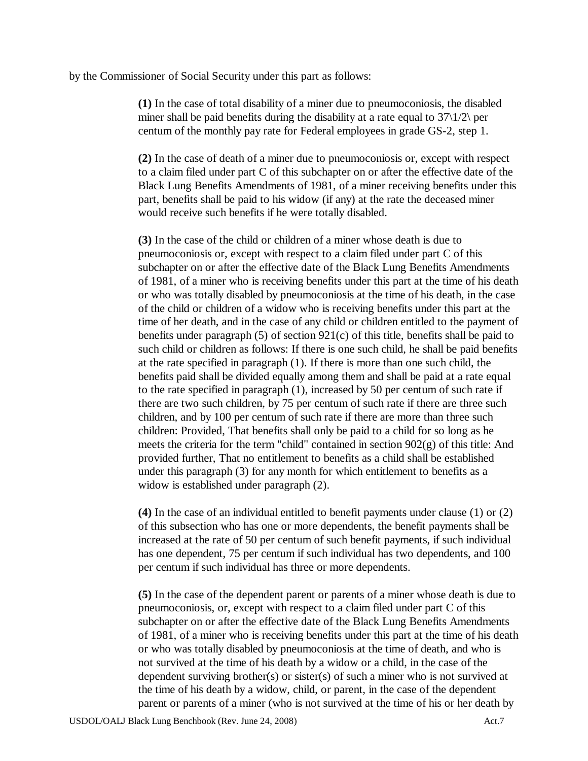by the Commissioner of Social Security under this part as follows:

**(1)** In the case of total disability of a miner due to pneumoconiosis, the disabled miner shall be paid benefits during the disability at a rate equal to  $37\frac{1}{2}$  per centum of the monthly pay rate for Federal employees in grade GS-2, step 1.

**(2)** In the case of death of a miner due to pneumoconiosis or, except with respect to a claim filed under part C of this subchapter on or after the effective date of the Black Lung Benefits Amendments of 1981, of a miner receiving benefits under this part, benefits shall be paid to his widow (if any) at the rate the deceased miner would receive such benefits if he were totally disabled.

**(3)** In the case of the child or children of a miner whose death is due to pneumoconiosis or, except with respect to a claim filed under part C of this subchapter on or after the effective date of the Black Lung Benefits Amendments of 1981, of a miner who is receiving benefits under this part at the time of his death or who was totally disabled by pneumoconiosis at the time of his death, in the case of the child or children of a widow who is receiving benefits under this part at the time of her death, and in the case of any child or children entitled to the payment of benefits under paragraph (5) of section 921(c) of this title, benefits shall be paid to such child or children as follows: If there is one such child, he shall be paid benefits at the rate specified in paragraph (1). If there is more than one such child, the benefits paid shall be divided equally among them and shall be paid at a rate equal to the rate specified in paragraph (1), increased by 50 per centum of such rate if there are two such children, by 75 per centum of such rate if there are three such children, and by 100 per centum of such rate if there are more than three such children: Provided, That benefits shall only be paid to a child for so long as he meets the criteria for the term "child" contained in section 902(g) of this title: And provided further, That no entitlement to benefits as a child shall be established under this paragraph (3) for any month for which entitlement to benefits as a widow is established under paragraph (2).

**(4)** In the case of an individual entitled to benefit payments under clause (1) or (2) of this subsection who has one or more dependents, the benefit payments shall be increased at the rate of 50 per centum of such benefit payments, if such individual has one dependent, 75 per centum if such individual has two dependents, and 100 per centum if such individual has three or more dependents.

**(5)** In the case of the dependent parent or parents of a miner whose death is due to pneumoconiosis, or, except with respect to a claim filed under part C of this subchapter on or after the effective date of the Black Lung Benefits Amendments of 1981, of a miner who is receiving benefits under this part at the time of his death or who was totally disabled by pneumoconiosis at the time of death, and who is not survived at the time of his death by a widow or a child, in the case of the dependent surviving brother(s) or sister(s) of such a miner who is not survived at the time of his death by a widow, child, or parent, in the case of the dependent parent or parents of a miner (who is not survived at the time of his or her death by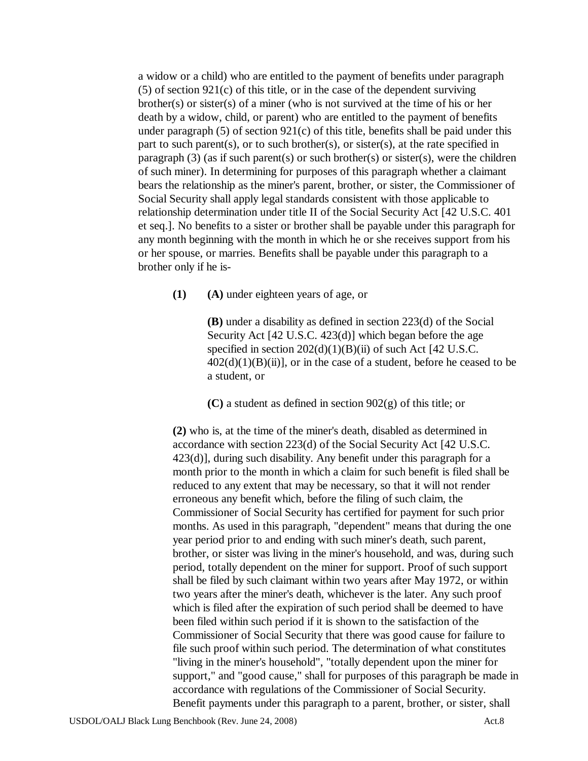a widow or a child) who are entitled to the payment of benefits under paragraph (5) of section 921(c) of this title, or in the case of the dependent surviving brother(s) or sister(s) of a miner (who is not survived at the time of his or her death by a widow, child, or parent) who are entitled to the payment of benefits under paragraph  $(5)$  of section  $921(c)$  of this title, benefits shall be paid under this part to such parent(s), or to such brother(s), or sister(s), at the rate specified in paragraph  $(3)$  (as if such parent(s) or such brother(s) or sister(s), were the children of such miner). In determining for purposes of this paragraph whether a claimant bears the relationship as the miner's parent, brother, or sister, the Commissioner of Social Security shall apply legal standards consistent with those applicable to relationship determination under title II of the Social Security Act [42 U.S.C. 401 et seq.]. No benefits to a sister or brother shall be payable under this paragraph for any month beginning with the month in which he or she receives support from his or her spouse, or marries. Benefits shall be payable under this paragraph to a brother only if he is-

**(1) (A)** under eighteen years of age, or

**(B)** under a disability as defined in section 223(d) of the Social Security Act [42 U.S.C. 423(d)] which began before the age specified in section  $202(d)(1)(B)(ii)$  of such Act [42 U.S.C.  $402(d)(1)(B)(ii)$ , or in the case of a student, before he ceased to be a student, or

**(C)** a student as defined in section 902(g) of this title; or

**(2)** who is, at the time of the miner's death, disabled as determined in accordance with section 223(d) of the Social Security Act [42 U.S.C. 423(d)], during such disability. Any benefit under this paragraph for a month prior to the month in which a claim for such benefit is filed shall be reduced to any extent that may be necessary, so that it will not render erroneous any benefit which, before the filing of such claim, the Commissioner of Social Security has certified for payment for such prior months. As used in this paragraph, "dependent" means that during the one year period prior to and ending with such miner's death, such parent, brother, or sister was living in the miner's household, and was, during such period, totally dependent on the miner for support. Proof of such support shall be filed by such claimant within two years after May 1972, or within two years after the miner's death, whichever is the later. Any such proof which is filed after the expiration of such period shall be deemed to have been filed within such period if it is shown to the satisfaction of the Commissioner of Social Security that there was good cause for failure to file such proof within such period. The determination of what constitutes "living in the miner's household", "totally dependent upon the miner for support," and "good cause," shall for purposes of this paragraph be made in accordance with regulations of the Commissioner of Social Security. Benefit payments under this paragraph to a parent, brother, or sister, shall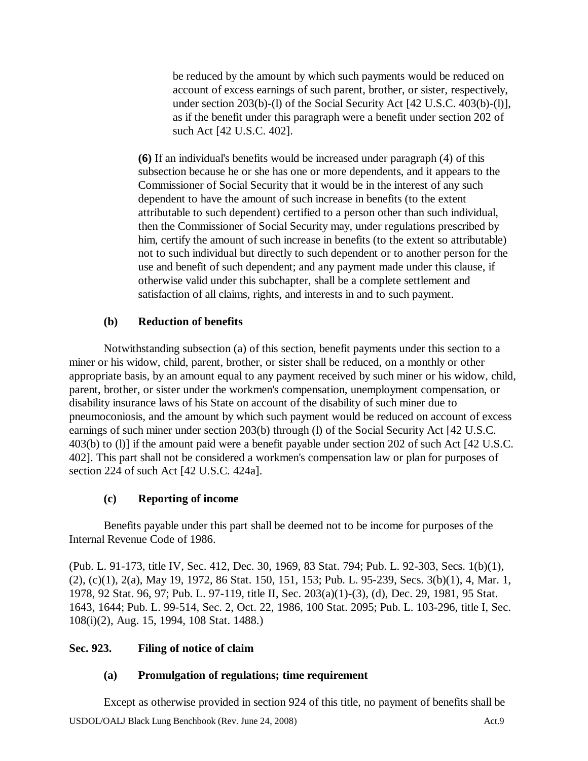be reduced by the amount by which such payments would be reduced on account of excess earnings of such parent, brother, or sister, respectively, under section 203(b)-(l) of the Social Security Act [42 U.S.C. 403(b)-(l)], as if the benefit under this paragraph were a benefit under section 202 of such Act [42 U.S.C. 402].

**(6)** If an individual's benefits would be increased under paragraph (4) of this subsection because he or she has one or more dependents, and it appears to the Commissioner of Social Security that it would be in the interest of any such dependent to have the amount of such increase in benefits (to the extent attributable to such dependent) certified to a person other than such individual, then the Commissioner of Social Security may, under regulations prescribed by him, certify the amount of such increase in benefits (to the extent so attributable) not to such individual but directly to such dependent or to another person for the use and benefit of such dependent; and any payment made under this clause, if otherwise valid under this subchapter, shall be a complete settlement and satisfaction of all claims, rights, and interests in and to such payment.

## **(b) Reduction of benefits**

Notwithstanding subsection (a) of this section, benefit payments under this section to a miner or his widow, child, parent, brother, or sister shall be reduced, on a monthly or other appropriate basis, by an amount equal to any payment received by such miner or his widow, child, parent, brother, or sister under the workmen's compensation, unemployment compensation, or disability insurance laws of his State on account of the disability of such miner due to pneumoconiosis, and the amount by which such payment would be reduced on account of excess earnings of such miner under section 203(b) through (l) of the Social Security Act [42 U.S.C. 403(b) to (l)] if the amount paid were a benefit payable under section 202 of such Act [42 U.S.C. 402]. This part shall not be considered a workmen's compensation law or plan for purposes of section 224 of such Act [42 U.S.C. 424a].

## **(c) Reporting of income**

Benefits payable under this part shall be deemed not to be income for purposes of the Internal Revenue Code of 1986.

(Pub. L. 91-173, title IV, Sec. 412, Dec. 30, 1969, 83 Stat. 794; Pub. L. 92-303, Secs. 1(b)(1), (2), (c)(1), 2(a), May 19, 1972, 86 Stat. 150, 151, 153; Pub. L. 95-239, Secs. 3(b)(1), 4, Mar. 1, 1978, 92 Stat. 96, 97; Pub. L. 97-119, title II, Sec. 203(a)(1)-(3), (d), Dec. 29, 1981, 95 Stat. 1643, 1644; Pub. L. 99-514, Sec. 2, Oct. 22, 1986, 100 Stat. 2095; Pub. L. 103-296, title I, Sec. 108(i)(2), Aug. 15, 1994, 108 Stat. 1488.)

## **Sec. 923. Filing of notice of claim**

#### **(a) Promulgation of regulations; time requirement**

USDOL/OALJ Black Lung Benchbook (Rev. June 24, 2008)  $\text{Act.9}$ Except as otherwise provided in section 924 of this title, no payment of benefits shall be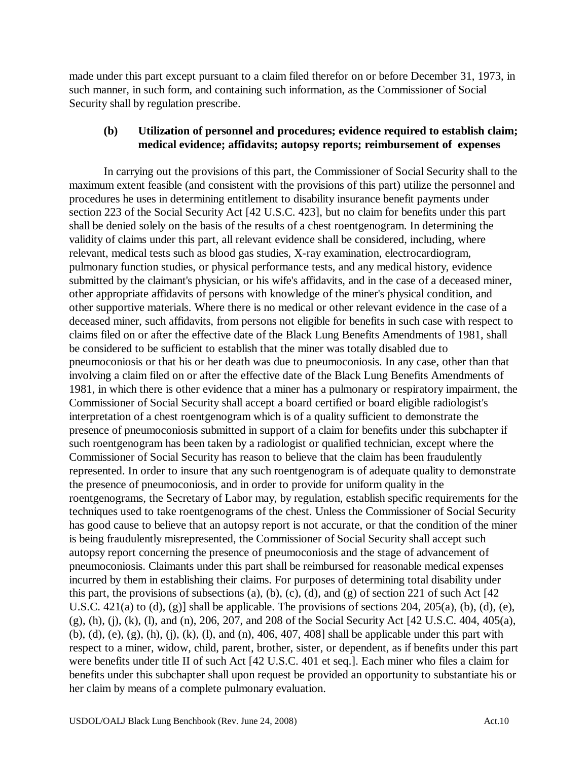made under this part except pursuant to a claim filed therefor on or before December 31, 1973, in such manner, in such form, and containing such information, as the Commissioner of Social Security shall by regulation prescribe.

#### **(b) Utilization of personnel and procedures; evidence required to establish claim; medical evidence; affidavits; autopsy reports; reimbursement of expenses**

In carrying out the provisions of this part, the Commissioner of Social Security shall to the maximum extent feasible (and consistent with the provisions of this part) utilize the personnel and procedures he uses in determining entitlement to disability insurance benefit payments under section 223 of the Social Security Act [42 U.S.C. 423], but no claim for benefits under this part shall be denied solely on the basis of the results of a chest roentgenogram. In determining the validity of claims under this part, all relevant evidence shall be considered, including, where relevant, medical tests such as blood gas studies, X-ray examination, electrocardiogram, pulmonary function studies, or physical performance tests, and any medical history, evidence submitted by the claimant's physician, or his wife's affidavits, and in the case of a deceased miner, other appropriate affidavits of persons with knowledge of the miner's physical condition, and other supportive materials. Where there is no medical or other relevant evidence in the case of a deceased miner, such affidavits, from persons not eligible for benefits in such case with respect to claims filed on or after the effective date of the Black Lung Benefits Amendments of 1981, shall be considered to be sufficient to establish that the miner was totally disabled due to pneumoconiosis or that his or her death was due to pneumoconiosis. In any case, other than that involving a claim filed on or after the effective date of the Black Lung Benefits Amendments of 1981, in which there is other evidence that a miner has a pulmonary or respiratory impairment, the Commissioner of Social Security shall accept a board certified or board eligible radiologist's interpretation of a chest roentgenogram which is of a quality sufficient to demonstrate the presence of pneumoconiosis submitted in support of a claim for benefits under this subchapter if such roentgenogram has been taken by a radiologist or qualified technician, except where the Commissioner of Social Security has reason to believe that the claim has been fraudulently represented. In order to insure that any such roentgenogram is of adequate quality to demonstrate the presence of pneumoconiosis, and in order to provide for uniform quality in the roentgenograms, the Secretary of Labor may, by regulation, establish specific requirements for the techniques used to take roentgenograms of the chest. Unless the Commissioner of Social Security has good cause to believe that an autopsy report is not accurate, or that the condition of the miner is being fraudulently misrepresented, the Commissioner of Social Security shall accept such autopsy report concerning the presence of pneumoconiosis and the stage of advancement of pneumoconiosis. Claimants under this part shall be reimbursed for reasonable medical expenses incurred by them in establishing their claims. For purposes of determining total disability under this part, the provisions of subsections (a), (b), (c), (d), and (g) of section 221 of such Act  $[42]$ U.S.C. 421(a) to (d), (g)] shall be applicable. The provisions of sections 204, 205(a), (b), (d), (e), (g), (h), (j), (k), (l), and (n), 206, 207, and 208 of the Social Security Act [42 U.S.C. 404, 405(a), (b), (d), (e), (g), (h), (j), (k), (l), and (n),  $406, 407, 408$ ] shall be applicable under this part with respect to a miner, widow, child, parent, brother, sister, or dependent, as if benefits under this part were benefits under title II of such Act [42 U.S.C. 401 et seq.]. Each miner who files a claim for benefits under this subchapter shall upon request be provided an opportunity to substantiate his or her claim by means of a complete pulmonary evaluation.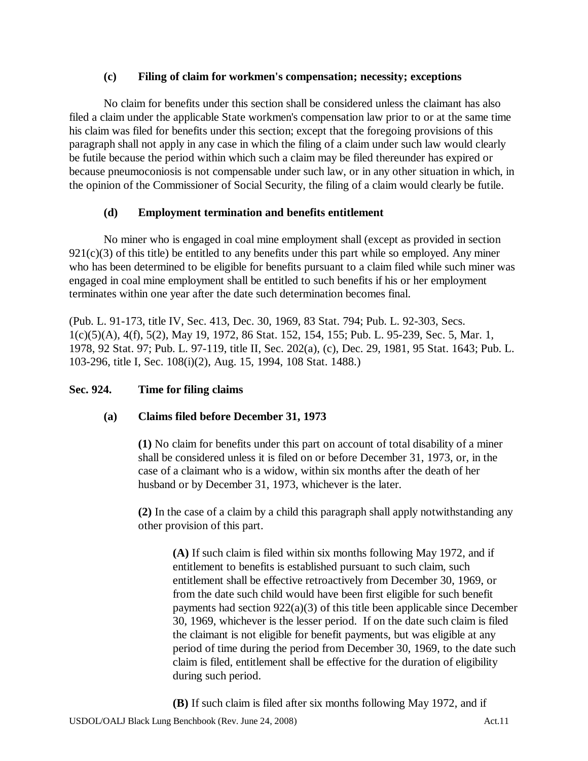#### **(c) Filing of claim for workmen's compensation; necessity; exceptions**

No claim for benefits under this section shall be considered unless the claimant has also filed a claim under the applicable State workmen's compensation law prior to or at the same time his claim was filed for benefits under this section; except that the foregoing provisions of this paragraph shall not apply in any case in which the filing of a claim under such law would clearly be futile because the period within which such a claim may be filed thereunder has expired or because pneumoconiosis is not compensable under such law, or in any other situation in which, in the opinion of the Commissioner of Social Security, the filing of a claim would clearly be futile.

## **(d) Employment termination and benefits entitlement**

No miner who is engaged in coal mine employment shall (except as provided in section  $921(c)(3)$  of this title) be entitled to any benefits under this part while so employed. Any miner who has been determined to be eligible for benefits pursuant to a claim filed while such miner was engaged in coal mine employment shall be entitled to such benefits if his or her employment terminates within one year after the date such determination becomes final.

(Pub. L. 91-173, title IV, Sec. 413, Dec. 30, 1969, 83 Stat. 794; Pub. L. 92-303, Secs. 1(c)(5)(A), 4(f), 5(2), May 19, 1972, 86 Stat. 152, 154, 155; Pub. L. 95-239, Sec. 5, Mar. 1, 1978, 92 Stat. 97; Pub. L. 97-119, title II, Sec. 202(a), (c), Dec. 29, 1981, 95 Stat. 1643; Pub. L. 103-296, title I, Sec. 108(i)(2), Aug. 15, 1994, 108 Stat. 1488.)

## **Sec. 924. Time for filing claims**

# **(a) Claims filed before December 31, 1973**

**(1)** No claim for benefits under this part on account of total disability of a miner shall be considered unless it is filed on or before December 31, 1973, or, in the case of a claimant who is a widow, within six months after the death of her husband or by December 31, 1973, whichever is the later.

**(2)** In the case of a claim by a child this paragraph shall apply notwithstanding any other provision of this part.

**(A)** If such claim is filed within six months following May 1972, and if entitlement to benefits is established pursuant to such claim, such entitlement shall be effective retroactively from December 30, 1969, or from the date such child would have been first eligible for such benefit payments had section 922(a)(3) of this title been applicable since December 30, 1969, whichever is the lesser period. If on the date such claim is filed the claimant is not eligible for benefit payments, but was eligible at any period of time during the period from December 30, 1969, to the date such claim is filed, entitlement shall be effective for the duration of eligibility during such period.

**(B)** If such claim is filed after six months following May 1972, and if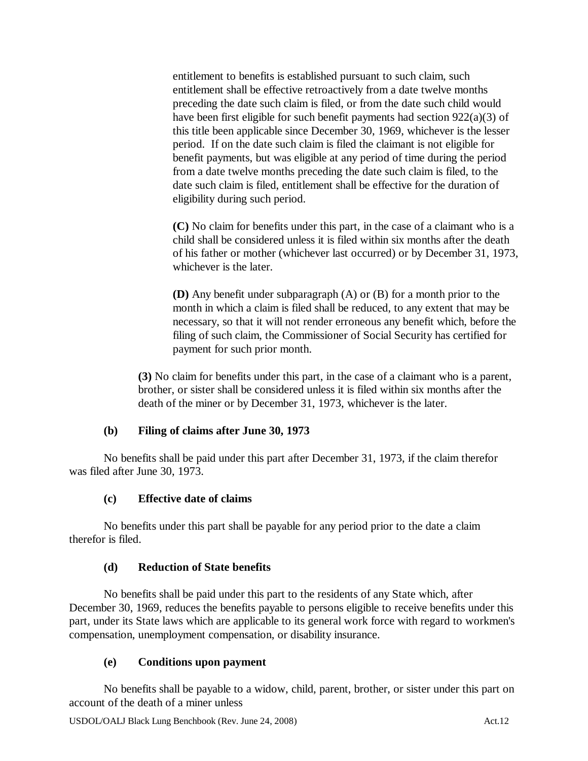entitlement to benefits is established pursuant to such claim, such entitlement shall be effective retroactively from a date twelve months preceding the date such claim is filed, or from the date such child would have been first eligible for such benefit payments had section  $922(a)(3)$  of this title been applicable since December 30, 1969, whichever is the lesser period. If on the date such claim is filed the claimant is not eligible for benefit payments, but was eligible at any period of time during the period from a date twelve months preceding the date such claim is filed, to the date such claim is filed, entitlement shall be effective for the duration of eligibility during such period.

**(C)** No claim for benefits under this part, in the case of a claimant who is a child shall be considered unless it is filed within six months after the death of his father or mother (whichever last occurred) or by December 31, 1973, whichever is the later.

**(D)** Any benefit under subparagraph (A) or (B) for a month prior to the month in which a claim is filed shall be reduced, to any extent that may be necessary, so that it will not render erroneous any benefit which, before the filing of such claim, the Commissioner of Social Security has certified for payment for such prior month.

**(3)** No claim for benefits under this part, in the case of a claimant who is a parent, brother, or sister shall be considered unless it is filed within six months after the death of the miner or by December 31, 1973, whichever is the later.

## **(b) Filing of claims after June 30, 1973**

No benefits shall be paid under this part after December 31, 1973, if the claim therefor was filed after June 30, 1973.

## **(c) Effective date of claims**

No benefits under this part shall be payable for any period prior to the date a claim therefor is filed.

#### **(d) Reduction of State benefits**

No benefits shall be paid under this part to the residents of any State which, after December 30, 1969, reduces the benefits payable to persons eligible to receive benefits under this part, under its State laws which are applicable to its general work force with regard to workmen's compensation, unemployment compensation, or disability insurance.

#### **(e) Conditions upon payment**

No benefits shall be payable to a widow, child, parent, brother, or sister under this part on account of the death of a miner unless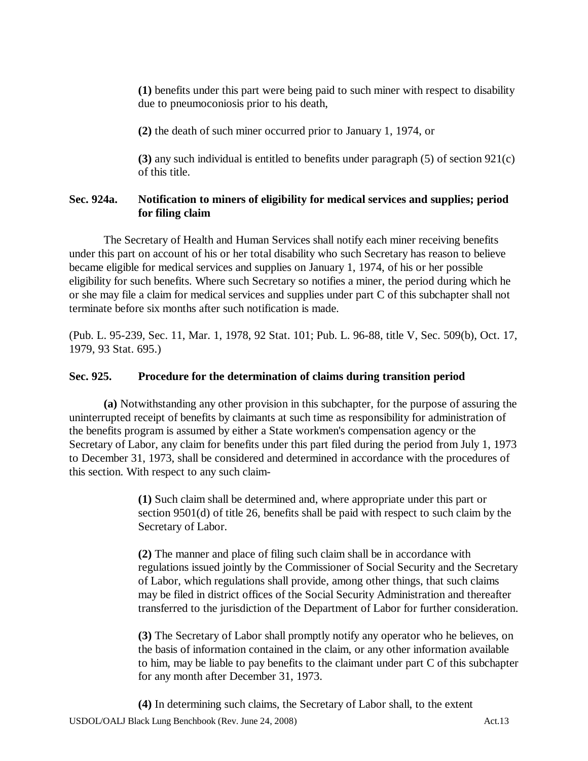**(1)** benefits under this part were being paid to such miner with respect to disability due to pneumoconiosis prior to his death,

**(2)** the death of such miner occurred prior to January 1, 1974, or

**(3)** any such individual is entitled to benefits under paragraph (5) of section 921(c) of this title.

## **Sec. 924a. Notification to miners of eligibility for medical services and supplies; period for filing claim**

The Secretary of Health and Human Services shall notify each miner receiving benefits under this part on account of his or her total disability who such Secretary has reason to believe became eligible for medical services and supplies on January 1, 1974, of his or her possible eligibility for such benefits. Where such Secretary so notifies a miner, the period during which he or she may file a claim for medical services and supplies under part C of this subchapter shall not terminate before six months after such notification is made.

(Pub. L. 95-239, Sec. 11, Mar. 1, 1978, 92 Stat. 101; Pub. L. 96-88, title V, Sec. 509(b), Oct. 17, 1979, 93 Stat. 695.)

## **Sec. 925. Procedure for the determination of claims during transition period**

**(a)** Notwithstanding any other provision in this subchapter, for the purpose of assuring the uninterrupted receipt of benefits by claimants at such time as responsibility for administration of the benefits program is assumed by either a State workmen's compensation agency or the Secretary of Labor, any claim for benefits under this part filed during the period from July 1, 1973 to December 31, 1973, shall be considered and determined in accordance with the procedures of this section. With respect to any such claim-

> **(1)** Such claim shall be determined and, where appropriate under this part or section 9501(d) of title 26, benefits shall be paid with respect to such claim by the Secretary of Labor.

**(2)** The manner and place of filing such claim shall be in accordance with regulations issued jointly by the Commissioner of Social Security and the Secretary of Labor, which regulations shall provide, among other things, that such claims may be filed in district offices of the Social Security Administration and thereafter transferred to the jurisdiction of the Department of Labor for further consideration.

**(3)** The Secretary of Labor shall promptly notify any operator who he believes, on the basis of information contained in the claim, or any other information available to him, may be liable to pay benefits to the claimant under part C of this subchapter for any month after December 31, 1973.

USDOL/OALJ Black Lung Benchbook (Rev. June 24, 2008)  $Act.13$ **(4)** In determining such claims, the Secretary of Labor shall, to the extent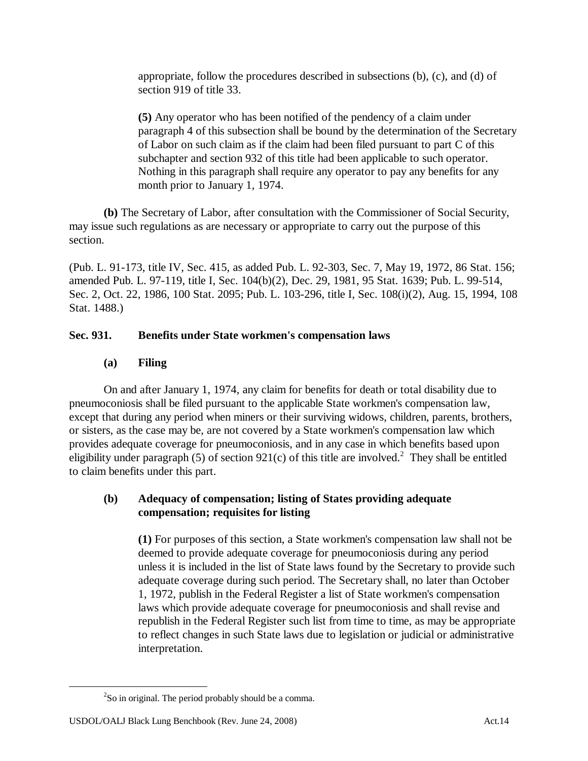appropriate, follow the procedures described in subsections (b), (c), and (d) of section 919 of title 33.

**(5)** Any operator who has been notified of the pendency of a claim under paragraph 4 of this subsection shall be bound by the determination of the Secretary of Labor on such claim as if the claim had been filed pursuant to part C of this subchapter and section 932 of this title had been applicable to such operator. Nothing in this paragraph shall require any operator to pay any benefits for any month prior to January 1, 1974.

**(b)** The Secretary of Labor, after consultation with the Commissioner of Social Security, may issue such regulations as are necessary or appropriate to carry out the purpose of this section.

(Pub. L. 91-173, title IV, Sec. 415, as added Pub. L. 92-303, Sec. 7, May 19, 1972, 86 Stat. 156; amended Pub. L. 97-119, title I, Sec. 104(b)(2), Dec. 29, 1981, 95 Stat. 1639; Pub. L. 99-514, Sec. 2, Oct. 22, 1986, 100 Stat. 2095; Pub. L. 103-296, title I, Sec. 108(i)(2), Aug. 15, 1994, 108 Stat. 1488.)

## **Sec. 931. Benefits under State workmen's compensation laws**

#### **(a) Filing**

On and after January 1, 1974, any claim for benefits for death or total disability due to pneumoconiosis shall be filed pursuant to the applicable State workmen's compensation law, except that during any period when miners or their surviving widows, children, parents, brothers, or sisters, as the case may be, are not covered by a State workmen's compensation law which provides adequate coverage for pneumoconiosis, and in any case in which benefits based upon eligibility under paragraph (5) of section 921(c) of this title are involved.<sup>2</sup> They shall be entitled to claim benefits under this part.

## **(b) Adequacy of compensation; listing of States providing adequate compensation; requisites for listing**

**(1)** For purposes of this section, a State workmen's compensation law shall not be deemed to provide adequate coverage for pneumoconiosis during any period unless it is included in the list of State laws found by the Secretary to provide such adequate coverage during such period. The Secretary shall, no later than October 1, 1972, publish in the Federal Register a list of State workmen's compensation laws which provide adequate coverage for pneumoconiosis and shall revise and republish in the Federal Register such list from time to time, as may be appropriate to reflect changes in such State laws due to legislation or judicial or administrative interpretation.

 $2$ So in original. The period probably should be a comma.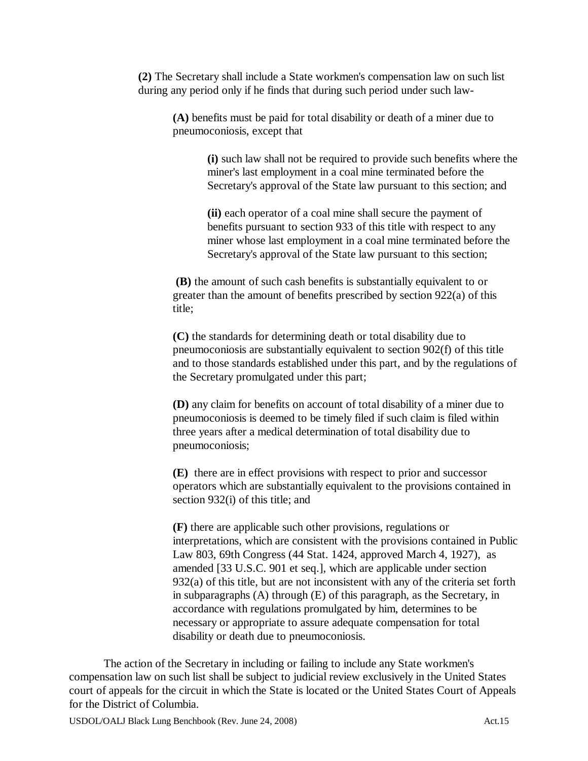**(2)** The Secretary shall include a State workmen's compensation law on such list during any period only if he finds that during such period under such law-

**(A)** benefits must be paid for total disability or death of a miner due to pneumoconiosis, except that

> **(i)** such law shall not be required to provide such benefits where the miner's last employment in a coal mine terminated before the Secretary's approval of the State law pursuant to this section; and

**(ii)** each operator of a coal mine shall secure the payment of benefits pursuant to section 933 of this title with respect to any miner whose last employment in a coal mine terminated before the Secretary's approval of the State law pursuant to this section;

**(B)** the amount of such cash benefits is substantially equivalent to or greater than the amount of benefits prescribed by section 922(a) of this title;

**(C)** the standards for determining death or total disability due to pneumoconiosis are substantially equivalent to section 902(f) of this title and to those standards established under this part, and by the regulations of the Secretary promulgated under this part;

**(D)** any claim for benefits on account of total disability of a miner due to pneumoconiosis is deemed to be timely filed if such claim is filed within three years after a medical determination of total disability due to pneumoconiosis;

**(E)** there are in effect provisions with respect to prior and successor operators which are substantially equivalent to the provisions contained in section 932(i) of this title; and

**(F)** there are applicable such other provisions, regulations or interpretations, which are consistent with the provisions contained in Public Law 803, 69th Congress (44 Stat. 1424, approved March 4, 1927), as amended [33 U.S.C. 901 et seq.], which are applicable under section 932(a) of this title, but are not inconsistent with any of the criteria set forth in subparagraphs (A) through (E) of this paragraph, as the Secretary, in accordance with regulations promulgated by him, determines to be necessary or appropriate to assure adequate compensation for total disability or death due to pneumoconiosis.

The action of the Secretary in including or failing to include any State workmen's compensation law on such list shall be subject to judicial review exclusively in the United States court of appeals for the circuit in which the State is located or the United States Court of Appeals for the District of Columbia.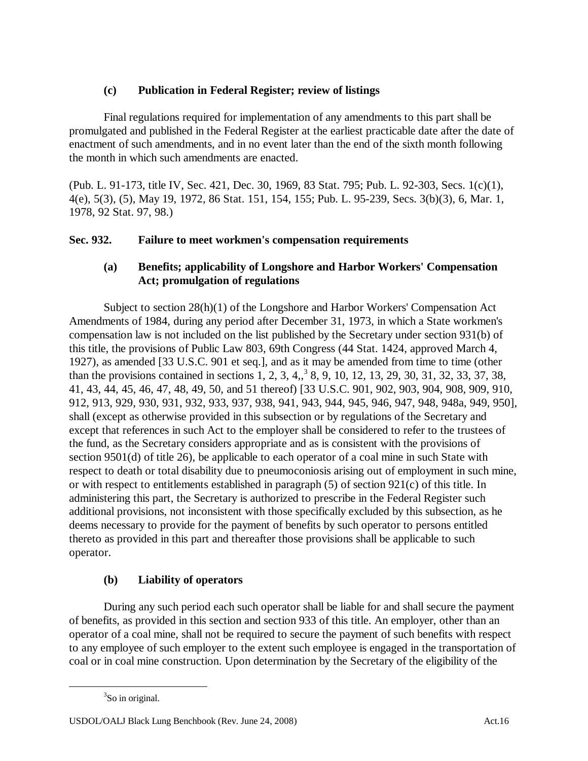# **(c) Publication in Federal Register; review of listings**

Final regulations required for implementation of any amendments to this part shall be promulgated and published in the Federal Register at the earliest practicable date after the date of enactment of such amendments, and in no event later than the end of the sixth month following the month in which such amendments are enacted.

(Pub. L. 91-173, title IV, Sec. 421, Dec. 30, 1969, 83 Stat. 795; Pub. L. 92-303, Secs. 1(c)(1), 4(e), 5(3), (5), May 19, 1972, 86 Stat. 151, 154, 155; Pub. L. 95-239, Secs. 3(b)(3), 6, Mar. 1, 1978, 92 Stat. 97, 98.)

# **Sec. 932. Failure to meet workmen's compensation requirements**

# **(a) Benefits; applicability of Longshore and Harbor Workers' Compensation Act; promulgation of regulations**

Subject to section  $28(h)(1)$  of the Longshore and Harbor Workers' Compensation Act Amendments of 1984, during any period after December 31, 1973, in which a State workmen's compensation law is not included on the list published by the Secretary under section 931(b) of this title, the provisions of Public Law 803, 69th Congress (44 Stat. 1424, approved March 4, 1927), as amended [33 U.S.C. 901 et seq.], and as it may be amended from time to time (other than the provisions contained in sections 1, 2, 3, 4,,<sup>3</sup> 8, 9, 10, 12, 13, 29, 30, 31, 32, 33, 37, 38, 41, 43, 44, 45, 46, 47, 48, 49, 50, and 51 thereof) [33 U.S.C. 901, 902, 903, 904, 908, 909, 910, 912, 913, 929, 930, 931, 932, 933, 937, 938, 941, 943, 944, 945, 946, 947, 948, 948a, 949, 950], shall (except as otherwise provided in this subsection or by regulations of the Secretary and except that references in such Act to the employer shall be considered to refer to the trustees of the fund, as the Secretary considers appropriate and as is consistent with the provisions of section 9501(d) of title 26), be applicable to each operator of a coal mine in such State with respect to death or total disability due to pneumoconiosis arising out of employment in such mine, or with respect to entitlements established in paragraph (5) of section 921(c) of this title. In administering this part, the Secretary is authorized to prescribe in the Federal Register such additional provisions, not inconsistent with those specifically excluded by this subsection, as he deems necessary to provide for the payment of benefits by such operator to persons entitled thereto as provided in this part and thereafter those provisions shall be applicable to such operator.

# **(b) Liability of operators**

During any such period each such operator shall be liable for and shall secure the payment of benefits, as provided in this section and section 933 of this title. An employer, other than an operator of a coal mine, shall not be required to secure the payment of such benefits with respect to any employee of such employer to the extent such employee is engaged in the transportation of coal or in coal mine construction. Upon determination by the Secretary of the eligibility of the

<sup>&</sup>lt;sup>3</sup>So in original.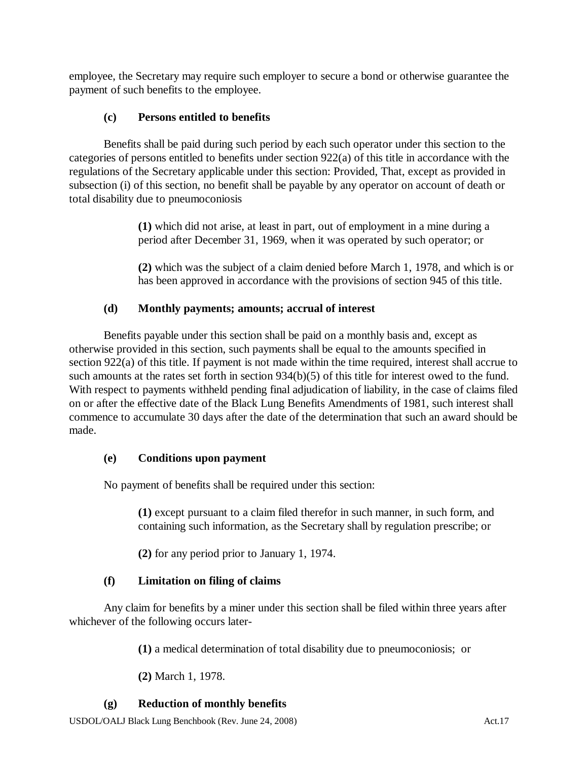employee, the Secretary may require such employer to secure a bond or otherwise guarantee the payment of such benefits to the employee.

## **(c) Persons entitled to benefits**

Benefits shall be paid during such period by each such operator under this section to the categories of persons entitled to benefits under section 922(a) of this title in accordance with the regulations of the Secretary applicable under this section: Provided, That, except as provided in subsection (i) of this section, no benefit shall be payable by any operator on account of death or total disability due to pneumoconiosis

> **(1)** which did not arise, at least in part, out of employment in a mine during a period after December 31, 1969, when it was operated by such operator; or

**(2)** which was the subject of a claim denied before March 1, 1978, and which is or has been approved in accordance with the provisions of section 945 of this title.

## **(d) Monthly payments; amounts; accrual of interest**

Benefits payable under this section shall be paid on a monthly basis and, except as otherwise provided in this section, such payments shall be equal to the amounts specified in section 922(a) of this title. If payment is not made within the time required, interest shall accrue to such amounts at the rates set forth in section 934(b)(5) of this title for interest owed to the fund. With respect to payments withheld pending final adjudication of liability, in the case of claims filed on or after the effective date of the Black Lung Benefits Amendments of 1981, such interest shall commence to accumulate 30 days after the date of the determination that such an award should be made.

## **(e) Conditions upon payment**

No payment of benefits shall be required under this section:

**(1)** except pursuant to a claim filed therefor in such manner, in such form, and containing such information, as the Secretary shall by regulation prescribe; or

**(2)** for any period prior to January 1, 1974.

## **(f) Limitation on filing of claims**

Any claim for benefits by a miner under this section shall be filed within three years after whichever of the following occurs later-

**(1)** a medical determination of total disability due to pneumoconiosis; or

**(2)** March 1, 1978.

# **(g) Reduction of monthly benefits**

USDOL/OALJ Black Lung Benchbook (Rev. June 24, 2008)  $Act.17$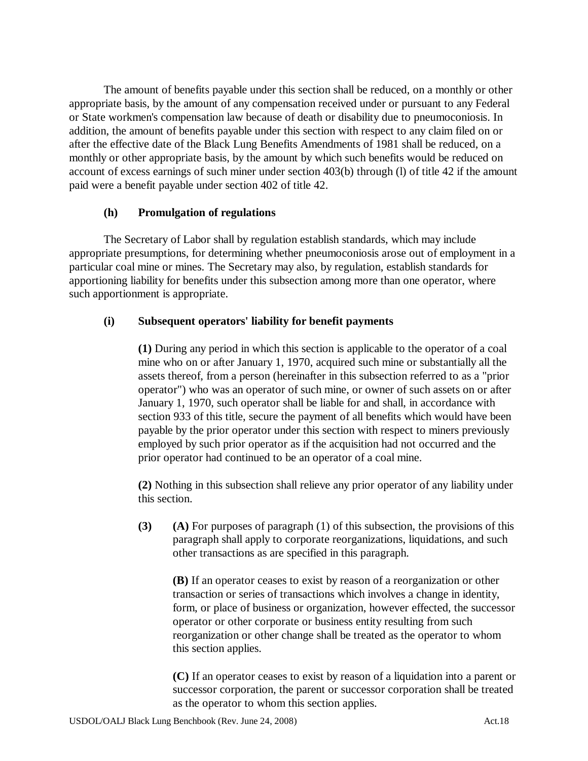The amount of benefits payable under this section shall be reduced, on a monthly or other appropriate basis, by the amount of any compensation received under or pursuant to any Federal or State workmen's compensation law because of death or disability due to pneumoconiosis. In addition, the amount of benefits payable under this section with respect to any claim filed on or after the effective date of the Black Lung Benefits Amendments of 1981 shall be reduced, on a monthly or other appropriate basis, by the amount by which such benefits would be reduced on account of excess earnings of such miner under section 403(b) through (l) of title 42 if the amount paid were a benefit payable under section 402 of title 42.

#### **(h) Promulgation of regulations**

The Secretary of Labor shall by regulation establish standards, which may include appropriate presumptions, for determining whether pneumoconiosis arose out of employment in a particular coal mine or mines. The Secretary may also, by regulation, establish standards for apportioning liability for benefits under this subsection among more than one operator, where such apportionment is appropriate.

#### **(i) Subsequent operators' liability for benefit payments**

**(1)** During any period in which this section is applicable to the operator of a coal mine who on or after January 1, 1970, acquired such mine or substantially all the assets thereof, from a person (hereinafter in this subsection referred to as a "prior operator") who was an operator of such mine, or owner of such assets on or after January 1, 1970, such operator shall be liable for and shall, in accordance with section 933 of this title, secure the payment of all benefits which would have been payable by the prior operator under this section with respect to miners previously employed by such prior operator as if the acquisition had not occurred and the prior operator had continued to be an operator of a coal mine.

**(2)** Nothing in this subsection shall relieve any prior operator of any liability under this section.

**(3) (A)** For purposes of paragraph (1) of this subsection, the provisions of this paragraph shall apply to corporate reorganizations, liquidations, and such other transactions as are specified in this paragraph.

**(B)** If an operator ceases to exist by reason of a reorganization or other transaction or series of transactions which involves a change in identity, form, or place of business or organization, however effected, the successor operator or other corporate or business entity resulting from such reorganization or other change shall be treated as the operator to whom this section applies.

**(C)** If an operator ceases to exist by reason of a liquidation into a parent or successor corporation, the parent or successor corporation shall be treated as the operator to whom this section applies.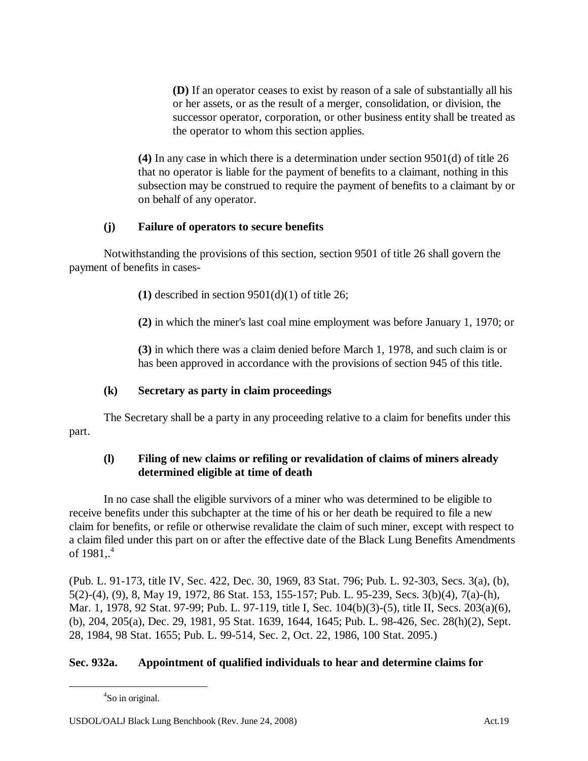**(D)** If an operator ceases to exist by reason of a sale of substantially all his or her assets, or as the result of a merger, consolidation, or division, the successor operator, corporation, or other business entity shall be treated as the operator to whom this section applies.

**(4)** In any case in which there is a determination under section 9501(d) of title 26 that no operator is liable for the payment of benefits to a claimant, nothing in this subsection may be construed to require the payment of benefits to a claimant by or on behalf of any operator.

#### **(j) Failure of operators to secure benefits**

Notwithstanding the provisions of this section, section 9501 of title 26 shall govern the payment of benefits in cases-

**(1)** described in section  $9501(d)(1)$  of title 26;

**(2)** in which the miner's last coal mine employment was before January 1, 1970; or

**(3)** in which there was a claim denied before March 1, 1978, and such claim is or has been approved in accordance with the provisions of section 945 of this title.

## **(k) Secretary as party in claim proceedings**

The Secretary shall be a party in any proceeding relative to a claim for benefits under this part.

## **(l) Filing of new claims or refiling or revalidation of claims of miners already determined eligible at time of death**

In no case shall the eligible survivors of a miner who was determined to be eligible to receive benefits under this subchapter at the time of his or her death be required to file a new claim for benefits, or refile or otherwise revalidate the claim of such miner, except with respect to a claim filed under this part on or after the effective date of the Black Lung Benefits Amendments of  $1981^{4}$ 

(Pub. L. 91-173, title IV, Sec. 422, Dec. 30, 1969, 83 Stat. 796; Pub. L. 92-303, Secs. 3(a), (b), 5(2)-(4), (9), 8, May 19, 1972, 86 Stat. 153, 155-157; Pub. L. 95-239, Secs. 3(b)(4), 7(a)-(h), Mar. 1, 1978, 92 Stat. 97-99; Pub. L. 97-119, title I, Sec. 104(b)(3)-(5), title II, Secs. 203(a)(6), (b), 204, 205(a), Dec. 29, 1981, 95 Stat. 1639, 1644, 1645; Pub. L. 98-426, Sec. 28(h)(2), Sept. 28, 1984, 98 Stat. 1655; Pub. L. 99-514, Sec. 2, Oct. 22, 1986, 100 Stat. 2095.)

# **Sec. 932a. Appointment of qualified individuals to hear and determine claims for**

<sup>&</sup>lt;sup>4</sup>So in original.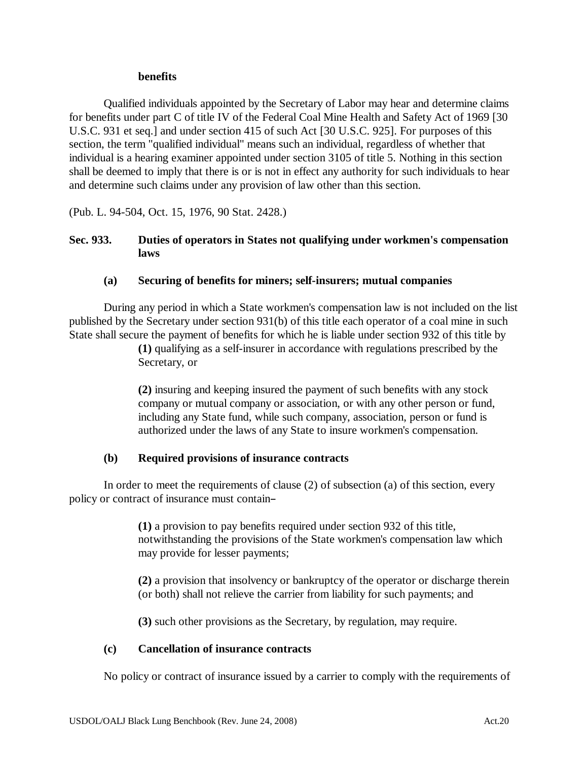#### **benefits**

Qualified individuals appointed by the Secretary of Labor may hear and determine claims for benefits under part C of title IV of the Federal Coal Mine Health and Safety Act of 1969 [30 U.S.C. 931 et seq.] and under section 415 of such Act [30 U.S.C. 925]. For purposes of this section, the term "qualified individual" means such an individual, regardless of whether that individual is a hearing examiner appointed under section 3105 of title 5. Nothing in this section shall be deemed to imply that there is or is not in effect any authority for such individuals to hear and determine such claims under any provision of law other than this section.

(Pub. L. 94-504, Oct. 15, 1976, 90 Stat. 2428.)

## **Sec. 933. Duties of operators in States not qualifying under workmen's compensation laws**

#### **(a) Securing of benefits for miners; self-insurers; mutual companies**

During any period in which a State workmen's compensation law is not included on the list published by the Secretary under section 931(b) of this title each operator of a coal mine in such State shall secure the payment of benefits for which he is liable under section 932 of this title by

**(1)** qualifying as a self-insurer in accordance with regulations prescribed by the Secretary, or

**(2)** insuring and keeping insured the payment of such benefits with any stock company or mutual company or association, or with any other person or fund, including any State fund, while such company, association, person or fund is authorized under the laws of any State to insure workmen's compensation.

#### **(b) Required provisions of insurance contracts**

In order to meet the requirements of clause (2) of subsection (a) of this section, every policy or contract of insurance must contain-

> **(1)** a provision to pay benefits required under section 932 of this title, notwithstanding the provisions of the State workmen's compensation law which may provide for lesser payments;

**(2)** a provision that insolvency or bankruptcy of the operator or discharge therein (or both) shall not relieve the carrier from liability for such payments; and

**(3)** such other provisions as the Secretary, by regulation, may require.

#### **(c) Cancellation of insurance contracts**

No policy or contract of insurance issued by a carrier to comply with the requirements of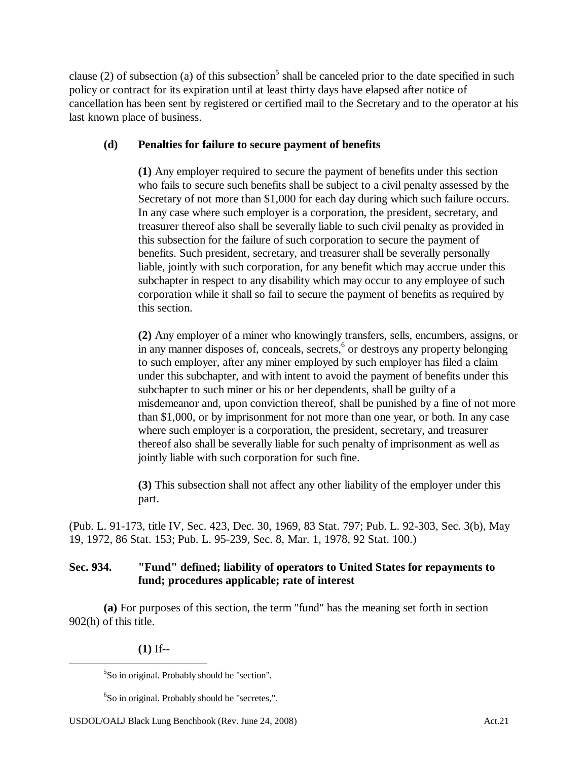clause (2) of subsection (a) of this subsection<sup>5</sup> shall be canceled prior to the date specified in such policy or contract for its expiration until at least thirty days have elapsed after notice of cancellation has been sent by registered or certified mail to the Secretary and to the operator at his last known place of business.

#### **(d) Penalties for failure to secure payment of benefits**

**(1)** Any employer required to secure the payment of benefits under this section who fails to secure such benefits shall be subject to a civil penalty assessed by the Secretary of not more than \$1,000 for each day during which such failure occurs. In any case where such employer is a corporation, the president, secretary, and treasurer thereof also shall be severally liable to such civil penalty as provided in this subsection for the failure of such corporation to secure the payment of benefits. Such president, secretary, and treasurer shall be severally personally liable, jointly with such corporation, for any benefit which may accrue under this subchapter in respect to any disability which may occur to any employee of such corporation while it shall so fail to secure the payment of benefits as required by this section.

**(2)** Any employer of a miner who knowingly transfers, sells, encumbers, assigns, or in any manner disposes of, conceals, secrets, $6$  or destroys any property belonging to such employer, after any miner employed by such employer has filed a claim under this subchapter, and with intent to avoid the payment of benefits under this subchapter to such miner or his or her dependents, shall be guilty of a misdemeanor and, upon conviction thereof, shall be punished by a fine of not more than \$1,000, or by imprisonment for not more than one year, or both. In any case where such employer is a corporation, the president, secretary, and treasurer thereof also shall be severally liable for such penalty of imprisonment as well as jointly liable with such corporation for such fine.

**(3)** This subsection shall not affect any other liability of the employer under this part.

(Pub. L. 91-173, title IV, Sec. 423, Dec. 30, 1969, 83 Stat. 797; Pub. L. 92-303, Sec. 3(b), May 19, 1972, 86 Stat. 153; Pub. L. 95-239, Sec. 8, Mar. 1, 1978, 92 Stat. 100.)

## **Sec. 934. "Fund" defined; liability of operators to United States for repayments to fund; procedures applicable; rate of interest**

**(a)** For purposes of this section, the term "fund" has the meaning set forth in section 902(h) of this title.

**(1)** If--

<sup>&</sup>lt;sup>5</sup>So in original. Probably should be "section".

<sup>&</sup>lt;sup>6</sup>So in original. Probably should be "secretes,".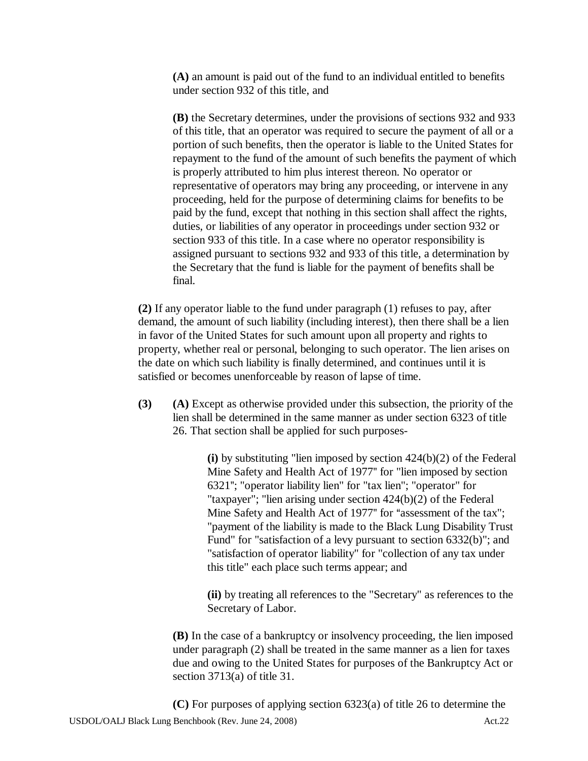**(A)** an amount is paid out of the fund to an individual entitled to benefits under section 932 of this title, and

**(B)** the Secretary determines, under the provisions of sections 932 and 933 of this title, that an operator was required to secure the payment of all or a portion of such benefits, then the operator is liable to the United States for repayment to the fund of the amount of such benefits the payment of which is properly attributed to him plus interest thereon. No operator or representative of operators may bring any proceeding, or intervene in any proceeding, held for the purpose of determining claims for benefits to be paid by the fund, except that nothing in this section shall affect the rights, duties, or liabilities of any operator in proceedings under section 932 or section 933 of this title. In a case where no operator responsibility is assigned pursuant to sections 932 and 933 of this title, a determination by the Secretary that the fund is liable for the payment of benefits shall be final.

**(2)** If any operator liable to the fund under paragraph (1) refuses to pay, after demand, the amount of such liability (including interest), then there shall be a lien in favor of the United States for such amount upon all property and rights to property, whether real or personal, belonging to such operator. The lien arises on the date on which such liability is finally determined, and continues until it is satisfied or becomes unenforceable by reason of lapse of time.

**(3) (A)** Except as otherwise provided under this subsection, the priority of the lien shall be determined in the same manner as under section 6323 of title 26. That section shall be applied for such purposes-

> **(i)** by substituting "lien imposed by section 424(b)(2) of the Federal Mine Safety and Health Act of 1977'' for "lien imposed by section 6321''; "operator liability lien" for "tax lien"; "operator" for "taxpayer"; "lien arising under section 424(b)(2) of the Federal Mine Safety and Health Act of 1977" for "assessment of the tax"; "payment of the liability is made to the Black Lung Disability Trust Fund" for "satisfaction of a levy pursuant to section 6332(b)"; and "satisfaction of operator liability" for "collection of any tax under this title" each place such terms appear; and

> **(ii)** by treating all references to the "Secretary" as references to the Secretary of Labor.

**(B)** In the case of a bankruptcy or insolvency proceeding, the lien imposed under paragraph (2) shall be treated in the same manner as a lien for taxes due and owing to the United States for purposes of the Bankruptcy Act or section 3713(a) of title 31.

USDOL/OALJ Black Lung Benchbook (Rev. June 24, 2008)  $Act.22$ **(C)** For purposes of applying section 6323(a) of title 26 to determine the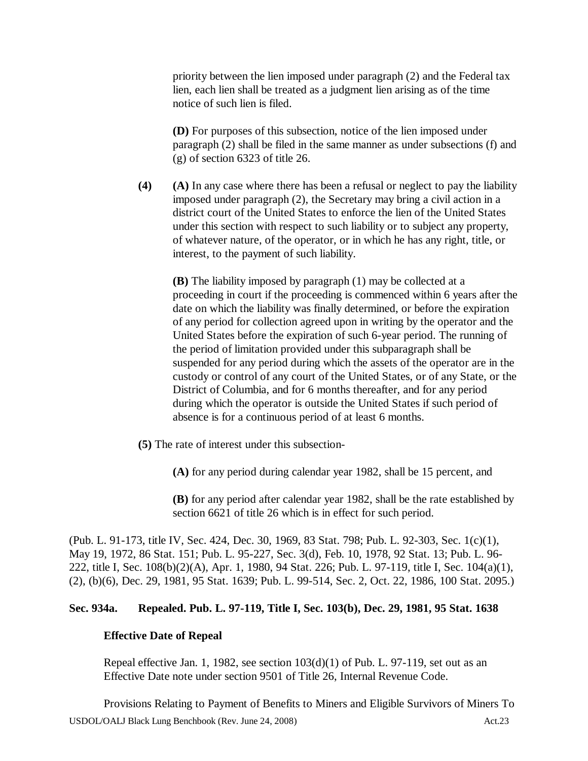priority between the lien imposed under paragraph (2) and the Federal tax lien, each lien shall be treated as a judgment lien arising as of the time notice of such lien is filed.

**(D)** For purposes of this subsection, notice of the lien imposed under paragraph (2) shall be filed in the same manner as under subsections (f) and (g) of section 6323 of title 26.

**(4) (A)** In any case where there has been a refusal or neglect to pay the liability imposed under paragraph (2), the Secretary may bring a civil action in a district court of the United States to enforce the lien of the United States under this section with respect to such liability or to subject any property, of whatever nature, of the operator, or in which he has any right, title, or interest, to the payment of such liability.

**(B)** The liability imposed by paragraph (1) may be collected at a proceeding in court if the proceeding is commenced within 6 years after the date on which the liability was finally determined, or before the expiration of any period for collection agreed upon in writing by the operator and the United States before the expiration of such 6-year period. The running of the period of limitation provided under this subparagraph shall be suspended for any period during which the assets of the operator are in the custody or control of any court of the United States, or of any State, or the District of Columbia, and for 6 months thereafter, and for any period during which the operator is outside the United States if such period of absence is for a continuous period of at least 6 months.

**(5)** The rate of interest under this subsection-

**(A)** for any period during calendar year 1982, shall be 15 percent, and

**(B)** for any period after calendar year 1982, shall be the rate established by section 6621 of title 26 which is in effect for such period.

(Pub. L. 91-173, title IV, Sec. 424, Dec. 30, 1969, 83 Stat. 798; Pub. L. 92-303, Sec. 1(c)(1), May 19, 1972, 86 Stat. 151; Pub. L. 95-227, Sec. 3(d), Feb. 10, 1978, 92 Stat. 13; Pub. L. 96- 222, title I, Sec. 108(b)(2)(A), Apr. 1, 1980, 94 Stat. 226; Pub. L. 97-119, title I, Sec. 104(a)(1), (2), (b)(6), Dec. 29, 1981, 95 Stat. 1639; Pub. L. 99-514, Sec. 2, Oct. 22, 1986, 100 Stat. 2095.)

#### **Sec. 934a. Repealed. Pub. L. 97-119, Title I, Sec. 103(b), Dec. 29, 1981, 95 Stat. 1638**

#### **Effective Date of Repeal**

Repeal effective Jan. 1, 1982, see section  $103(d)(1)$  of Pub. L. 97-119, set out as an Effective Date note under section 9501 of Title 26, Internal Revenue Code.

USDOL/OALJ Black Lung Benchbook (Rev. June 24, 2008)  $Act.23$ Provisions Relating to Payment of Benefits to Miners and Eligible Survivors of Miners To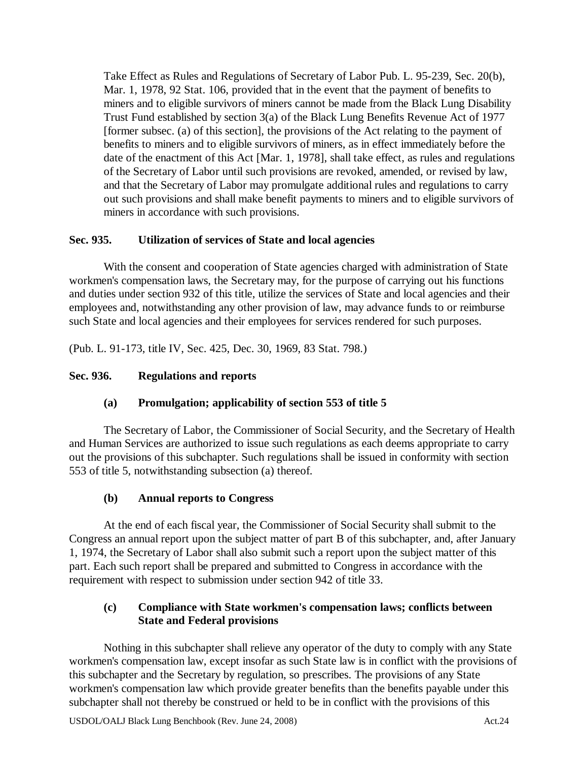Take Effect as Rules and Regulations of Secretary of Labor Pub. L. 95-239, Sec. 20(b), Mar. 1, 1978, 92 Stat. 106, provided that in the event that the payment of benefits to miners and to eligible survivors of miners cannot be made from the Black Lung Disability Trust Fund established by section 3(a) of the Black Lung Benefits Revenue Act of 1977 [former subsec. (a) of this section], the provisions of the Act relating to the payment of benefits to miners and to eligible survivors of miners, as in effect immediately before the date of the enactment of this Act [Mar. 1, 1978], shall take effect, as rules and regulations of the Secretary of Labor until such provisions are revoked, amended, or revised by law, and that the Secretary of Labor may promulgate additional rules and regulations to carry out such provisions and shall make benefit payments to miners and to eligible survivors of miners in accordance with such provisions.

# **Sec. 935. Utilization of services of State and local agencies**

With the consent and cooperation of State agencies charged with administration of State workmen's compensation laws, the Secretary may, for the purpose of carrying out his functions and duties under section 932 of this title, utilize the services of State and local agencies and their employees and, notwithstanding any other provision of law, may advance funds to or reimburse such State and local agencies and their employees for services rendered for such purposes.

(Pub. L. 91-173, title IV, Sec. 425, Dec. 30, 1969, 83 Stat. 798.)

# **Sec. 936. Regulations and reports**

# **(a) Promulgation; applicability of section 553 of title 5**

The Secretary of Labor, the Commissioner of Social Security, and the Secretary of Health and Human Services are authorized to issue such regulations as each deems appropriate to carry out the provisions of this subchapter. Such regulations shall be issued in conformity with section 553 of title 5, notwithstanding subsection (a) thereof.

# **(b) Annual reports to Congress**

At the end of each fiscal year, the Commissioner of Social Security shall submit to the Congress an annual report upon the subject matter of part B of this subchapter, and, after January 1, 1974, the Secretary of Labor shall also submit such a report upon the subject matter of this part. Each such report shall be prepared and submitted to Congress in accordance with the requirement with respect to submission under section 942 of title 33.

# **(c) Compliance with State workmen's compensation laws; conflicts between State and Federal provisions**

Nothing in this subchapter shall relieve any operator of the duty to comply with any State workmen's compensation law, except insofar as such State law is in conflict with the provisions of this subchapter and the Secretary by regulation, so prescribes. The provisions of any State workmen's compensation law which provide greater benefits than the benefits payable under this subchapter shall not thereby be construed or held to be in conflict with the provisions of this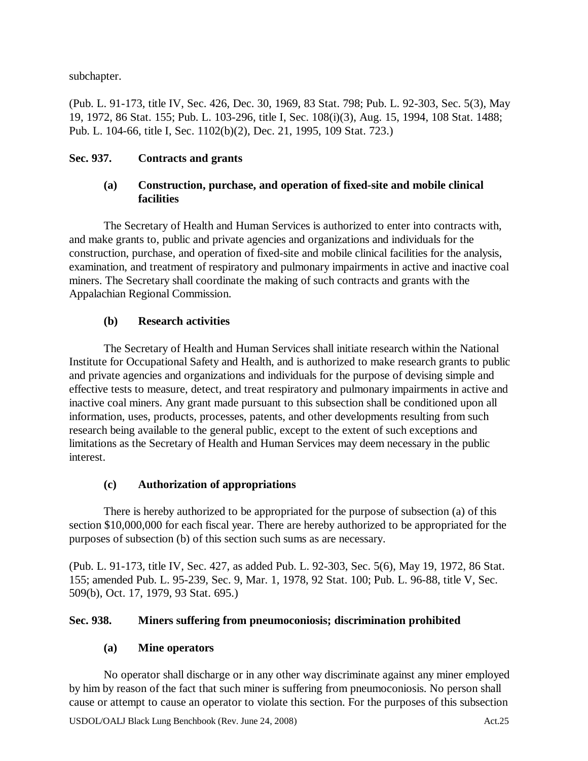subchapter.

(Pub. L. 91-173, title IV, Sec. 426, Dec. 30, 1969, 83 Stat. 798; Pub. L. 92-303, Sec. 5(3), May 19, 1972, 86 Stat. 155; Pub. L. 103-296, title I, Sec. 108(i)(3), Aug. 15, 1994, 108 Stat. 1488; Pub. L. 104-66, title I, Sec. 1102(b)(2), Dec. 21, 1995, 109 Stat. 723.)

# **Sec. 937. Contracts and grants**

# **(a) Construction, purchase, and operation of fixed-site and mobile clinical facilities**

The Secretary of Health and Human Services is authorized to enter into contracts with, and make grants to, public and private agencies and organizations and individuals for the construction, purchase, and operation of fixed-site and mobile clinical facilities for the analysis, examination, and treatment of respiratory and pulmonary impairments in active and inactive coal miners. The Secretary shall coordinate the making of such contracts and grants with the Appalachian Regional Commission.

# **(b) Research activities**

The Secretary of Health and Human Services shall initiate research within the National Institute for Occupational Safety and Health, and is authorized to make research grants to public and private agencies and organizations and individuals for the purpose of devising simple and effective tests to measure, detect, and treat respiratory and pulmonary impairments in active and inactive coal miners. Any grant made pursuant to this subsection shall be conditioned upon all information, uses, products, processes, patents, and other developments resulting from such research being available to the general public, except to the extent of such exceptions and limitations as the Secretary of Health and Human Services may deem necessary in the public interest.

# **(c) Authorization of appropriations**

There is hereby authorized to be appropriated for the purpose of subsection (a) of this section \$10,000,000 for each fiscal year. There are hereby authorized to be appropriated for the purposes of subsection (b) of this section such sums as are necessary.

(Pub. L. 91-173, title IV, Sec. 427, as added Pub. L. 92-303, Sec. 5(6), May 19, 1972, 86 Stat. 155; amended Pub. L. 95-239, Sec. 9, Mar. 1, 1978, 92 Stat. 100; Pub. L. 96-88, title V, Sec. 509(b), Oct. 17, 1979, 93 Stat. 695.)

# **Sec. 938. Miners suffering from pneumoconiosis; discrimination prohibited**

# **(a) Mine operators**

No operator shall discharge or in any other way discriminate against any miner employed by him by reason of the fact that such miner is suffering from pneumoconiosis. No person shall cause or attempt to cause an operator to violate this section. For the purposes of this subsection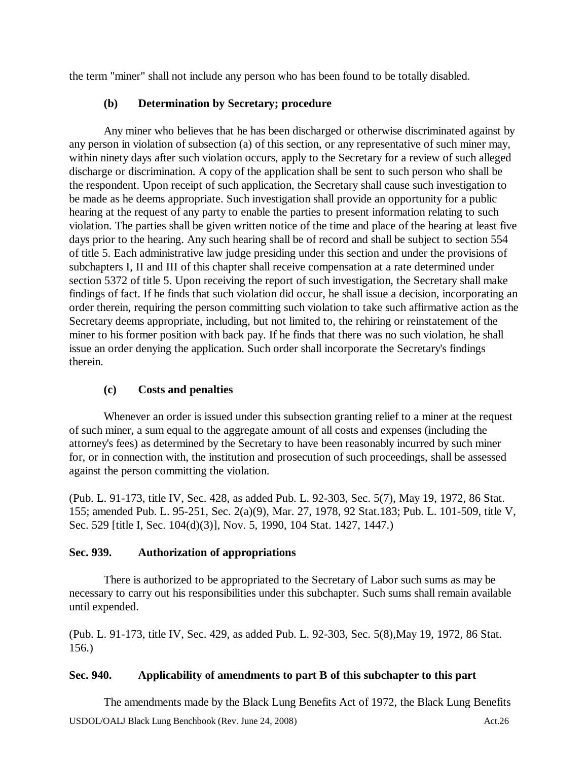the term "miner" shall not include any person who has been found to be totally disabled.

## **(b) Determination by Secretary; procedure**

Any miner who believes that he has been discharged or otherwise discriminated against by any person in violation of subsection (a) of this section, or any representative of such miner may, within ninety days after such violation occurs, apply to the Secretary for a review of such alleged discharge or discrimination. A copy of the application shall be sent to such person who shall be the respondent. Upon receipt of such application, the Secretary shall cause such investigation to be made as he deems appropriate. Such investigation shall provide an opportunity for a public hearing at the request of any party to enable the parties to present information relating to such violation. The parties shall be given written notice of the time and place of the hearing at least five days prior to the hearing. Any such hearing shall be of record and shall be subject to section 554 of title 5. Each administrative law judge presiding under this section and under the provisions of subchapters I, II and III of this chapter shall receive compensation at a rate determined under section 5372 of title 5. Upon receiving the report of such investigation, the Secretary shall make findings of fact. If he finds that such violation did occur, he shall issue a decision, incorporating an order therein, requiring the person committing such violation to take such affirmative action as the Secretary deems appropriate, including, but not limited to, the rehiring or reinstatement of the miner to his former position with back pay. If he finds that there was no such violation, he shall issue an order denying the application. Such order shall incorporate the Secretary's findings therein.

## **(c) Costs and penalties**

Whenever an order is issued under this subsection granting relief to a miner at the request of such miner, a sum equal to the aggregate amount of all costs and expenses (including the attorney's fees) as determined by the Secretary to have been reasonably incurred by such miner for, or in connection with, the institution and prosecution of such proceedings, shall be assessed against the person committing the violation.

(Pub. L. 91-173, title IV, Sec. 428, as added Pub. L. 92-303, Sec. 5(7), May 19, 1972, 86 Stat. 155; amended Pub. L. 95-251, Sec. 2(a)(9), Mar. 27, 1978, 92 Stat.183; Pub. L. 101-509, title V, Sec. 529 [title I, Sec. 104(d)(3)], Nov. 5, 1990, 104 Stat. 1427, 1447.)

## **Sec. 939. Authorization of appropriations**

There is authorized to be appropriated to the Secretary of Labor such sums as may be necessary to carry out his responsibilities under this subchapter. Such sums shall remain available until expended.

(Pub. L. 91-173, title IV, Sec. 429, as added Pub. L. 92-303, Sec. 5(8),May 19, 1972, 86 Stat. 156.)

## **Sec. 940. Applicability of amendments to part B of this subchapter to this part**

USDOL/OALJ Black Lung Benchbook (Rev. June 24, 2008)  $Act.26$ The amendments made by the Black Lung Benefits Act of 1972, the Black Lung Benefits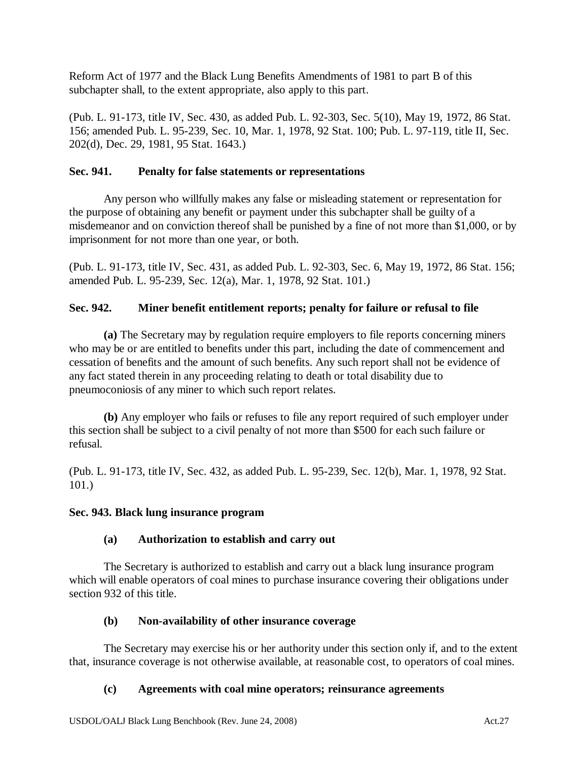Reform Act of 1977 and the Black Lung Benefits Amendments of 1981 to part B of this subchapter shall, to the extent appropriate, also apply to this part.

(Pub. L. 91-173, title IV, Sec. 430, as added Pub. L. 92-303, Sec. 5(10), May 19, 1972, 86 Stat. 156; amended Pub. L. 95-239, Sec. 10, Mar. 1, 1978, 92 Stat. 100; Pub. L. 97-119, title II, Sec. 202(d), Dec. 29, 1981, 95 Stat. 1643.)

#### **Sec. 941. Penalty for false statements or representations**

Any person who willfully makes any false or misleading statement or representation for the purpose of obtaining any benefit or payment under this subchapter shall be guilty of a misdemeanor and on conviction thereof shall be punished by a fine of not more than \$1,000, or by imprisonment for not more than one year, or both.

(Pub. L. 91-173, title IV, Sec. 431, as added Pub. L. 92-303, Sec. 6, May 19, 1972, 86 Stat. 156; amended Pub. L. 95-239, Sec. 12(a), Mar. 1, 1978, 92 Stat. 101.)

#### **Sec. 942. Miner benefit entitlement reports; penalty for failure or refusal to file**

**(a)** The Secretary may by regulation require employers to file reports concerning miners who may be or are entitled to benefits under this part, including the date of commencement and cessation of benefits and the amount of such benefits. Any such report shall not be evidence of any fact stated therein in any proceeding relating to death or total disability due to pneumoconiosis of any miner to which such report relates.

**(b)** Any employer who fails or refuses to file any report required of such employer under this section shall be subject to a civil penalty of not more than \$500 for each such failure or refusal.

(Pub. L. 91-173, title IV, Sec. 432, as added Pub. L. 95-239, Sec. 12(b), Mar. 1, 1978, 92 Stat. 101.)

#### **Sec. 943. Black lung insurance program**

#### **(a) Authorization to establish and carry out**

The Secretary is authorized to establish and carry out a black lung insurance program which will enable operators of coal mines to purchase insurance covering their obligations under section 932 of this title.

#### **(b) Non-availability of other insurance coverage**

The Secretary may exercise his or her authority under this section only if, and to the extent that, insurance coverage is not otherwise available, at reasonable cost, to operators of coal mines.

#### **(c) Agreements with coal mine operators; reinsurance agreements**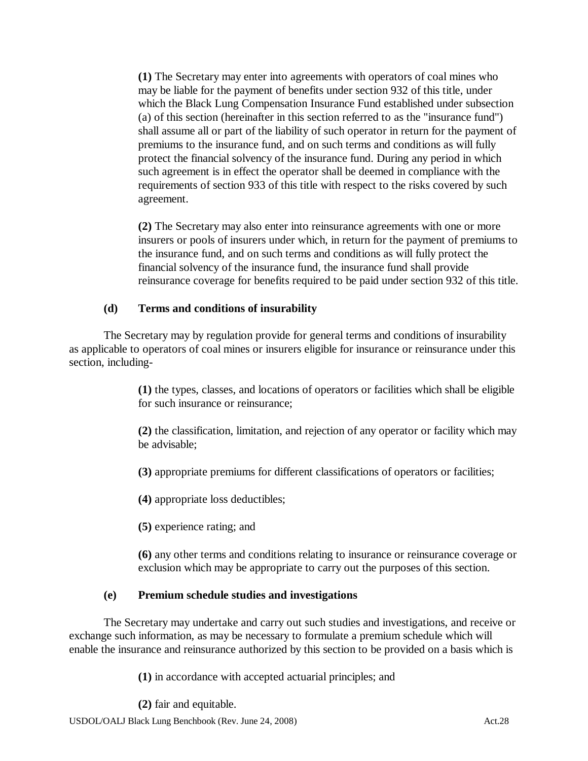**(1)** The Secretary may enter into agreements with operators of coal mines who may be liable for the payment of benefits under section 932 of this title, under which the Black Lung Compensation Insurance Fund established under subsection (a) of this section (hereinafter in this section referred to as the "insurance fund") shall assume all or part of the liability of such operator in return for the payment of premiums to the insurance fund, and on such terms and conditions as will fully protect the financial solvency of the insurance fund. During any period in which such agreement is in effect the operator shall be deemed in compliance with the requirements of section 933 of this title with respect to the risks covered by such agreement.

**(2)** The Secretary may also enter into reinsurance agreements with one or more insurers or pools of insurers under which, in return for the payment of premiums to the insurance fund, and on such terms and conditions as will fully protect the financial solvency of the insurance fund, the insurance fund shall provide reinsurance coverage for benefits required to be paid under section 932 of this title.

#### **(d) Terms and conditions of insurability**

The Secretary may by regulation provide for general terms and conditions of insurability as applicable to operators of coal mines or insurers eligible for insurance or reinsurance under this section, including-

> **(1)** the types, classes, and locations of operators or facilities which shall be eligible for such insurance or reinsurance;

> **(2)** the classification, limitation, and rejection of any operator or facility which may be advisable;

**(3)** appropriate premiums for different classifications of operators or facilities;

**(4)** appropriate loss deductibles;

**(5)** experience rating; and

**(6)** any other terms and conditions relating to insurance or reinsurance coverage or exclusion which may be appropriate to carry out the purposes of this section.

#### **(e) Premium schedule studies and investigations**

The Secretary may undertake and carry out such studies and investigations, and receive or exchange such information, as may be necessary to formulate a premium schedule which will enable the insurance and reinsurance authorized by this section to be provided on a basis which is

**(1)** in accordance with accepted actuarial principles; and

**(2)** fair and equitable.

USDOL/OALJ Black Lung Benchbook (Rev. June 24, 2008)  $Act.28$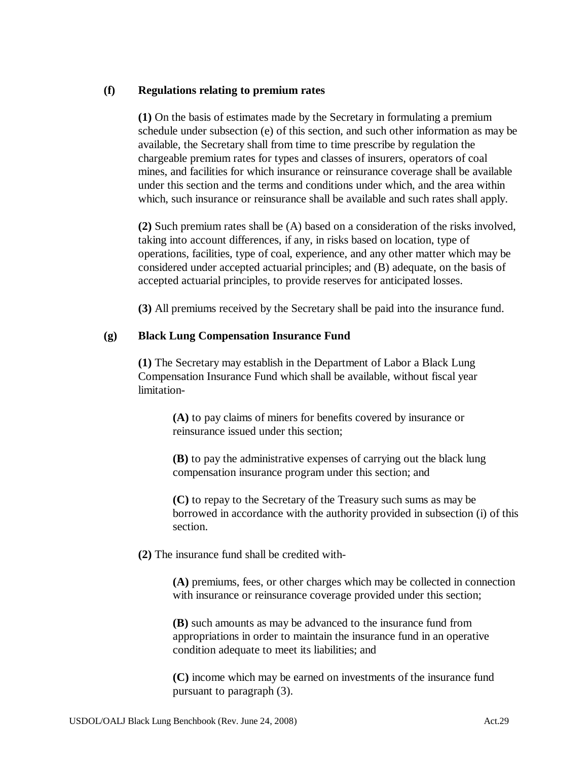#### **(f) Regulations relating to premium rates**

**(1)** On the basis of estimates made by the Secretary in formulating a premium schedule under subsection (e) of this section, and such other information as may be available, the Secretary shall from time to time prescribe by regulation the chargeable premium rates for types and classes of insurers, operators of coal mines, and facilities for which insurance or reinsurance coverage shall be available under this section and the terms and conditions under which, and the area within which, such insurance or reinsurance shall be available and such rates shall apply.

**(2)** Such premium rates shall be (A) based on a consideration of the risks involved, taking into account differences, if any, in risks based on location, type of operations, facilities, type of coal, experience, and any other matter which may be considered under accepted actuarial principles; and (B) adequate, on the basis of accepted actuarial principles, to provide reserves for anticipated losses.

**(3)** All premiums received by the Secretary shall be paid into the insurance fund.

## **(g) Black Lung Compensation Insurance Fund**

**(1)** The Secretary may establish in the Department of Labor a Black Lung Compensation Insurance Fund which shall be available, without fiscal year limitation-

> **(A)** to pay claims of miners for benefits covered by insurance or reinsurance issued under this section;

**(B)** to pay the administrative expenses of carrying out the black lung compensation insurance program under this section; and

**(C)** to repay to the Secretary of the Treasury such sums as may be borrowed in accordance with the authority provided in subsection (i) of this section.

**(2)** The insurance fund shall be credited with-

**(A)** premiums, fees, or other charges which may be collected in connection with insurance or reinsurance coverage provided under this section;

**(B)** such amounts as may be advanced to the insurance fund from appropriations in order to maintain the insurance fund in an operative condition adequate to meet its liabilities; and

**(C)** income which may be earned on investments of the insurance fund pursuant to paragraph (3).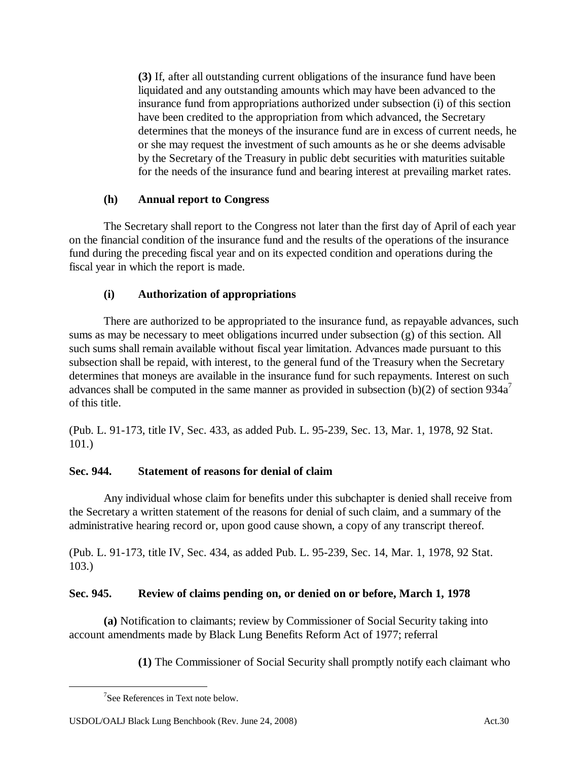**(3)** If, after all outstanding current obligations of the insurance fund have been liquidated and any outstanding amounts which may have been advanced to the insurance fund from appropriations authorized under subsection (i) of this section have been credited to the appropriation from which advanced, the Secretary determines that the moneys of the insurance fund are in excess of current needs, he or she may request the investment of such amounts as he or she deems advisable by the Secretary of the Treasury in public debt securities with maturities suitable for the needs of the insurance fund and bearing interest at prevailing market rates.

#### **(h) Annual report to Congress**

The Secretary shall report to the Congress not later than the first day of April of each year on the financial condition of the insurance fund and the results of the operations of the insurance fund during the preceding fiscal year and on its expected condition and operations during the fiscal year in which the report is made.

## **(i) Authorization of appropriations**

There are authorized to be appropriated to the insurance fund, as repayable advances, such sums as may be necessary to meet obligations incurred under subsection (g) of this section. All such sums shall remain available without fiscal year limitation. Advances made pursuant to this subsection shall be repaid, with interest, to the general fund of the Treasury when the Secretary determines that moneys are available in the insurance fund for such repayments. Interest on such advances shall be computed in the same manner as provided in subsection (b)(2) of section 934 $a^7$ of this title.

(Pub. L. 91-173, title IV, Sec. 433, as added Pub. L. 95-239, Sec. 13, Mar. 1, 1978, 92 Stat. 101.)

## **Sec. 944. Statement of reasons for denial of claim**

Any individual whose claim for benefits under this subchapter is denied shall receive from the Secretary a written statement of the reasons for denial of such claim, and a summary of the administrative hearing record or, upon good cause shown, a copy of any transcript thereof.

(Pub. L. 91-173, title IV, Sec. 434, as added Pub. L. 95-239, Sec. 14, Mar. 1, 1978, 92 Stat. 103.)

## **Sec. 945. Review of claims pending on, or denied on or before, March 1, 1978**

**(a)** Notification to claimants; review by Commissioner of Social Security taking into account amendments made by Black Lung Benefits Reform Act of 1977; referral

**(1)** The Commissioner of Social Security shall promptly notify each claimant who

<sup>&</sup>lt;sup>7</sup>See References in Text note below.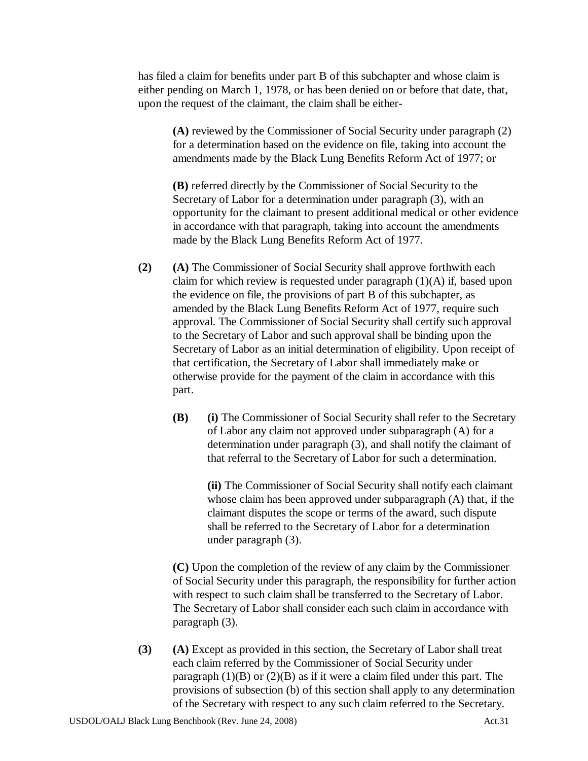has filed a claim for benefits under part B of this subchapter and whose claim is either pending on March 1, 1978, or has been denied on or before that date, that, upon the request of the claimant, the claim shall be either-

**(A)** reviewed by the Commissioner of Social Security under paragraph (2) for a determination based on the evidence on file, taking into account the amendments made by the Black Lung Benefits Reform Act of 1977; or

**(B)** referred directly by the Commissioner of Social Security to the Secretary of Labor for a determination under paragraph (3), with an opportunity for the claimant to present additional medical or other evidence in accordance with that paragraph, taking into account the amendments made by the Black Lung Benefits Reform Act of 1977.

- **(2) (A)** The Commissioner of Social Security shall approve forthwith each claim for which review is requested under paragraph  $(1)(A)$  if, based upon the evidence on file, the provisions of part B of this subchapter, as amended by the Black Lung Benefits Reform Act of 1977, require such approval. The Commissioner of Social Security shall certify such approval to the Secretary of Labor and such approval shall be binding upon the Secretary of Labor as an initial determination of eligibility. Upon receipt of that certification, the Secretary of Labor shall immediately make or otherwise provide for the payment of the claim in accordance with this part.
	- **(B) (i)** The Commissioner of Social Security shall refer to the Secretary of Labor any claim not approved under subparagraph (A) for a determination under paragraph (3), and shall notify the claimant of that referral to the Secretary of Labor for such a determination.

**(ii)** The Commissioner of Social Security shall notify each claimant whose claim has been approved under subparagraph (A) that, if the claimant disputes the scope or terms of the award, such dispute shall be referred to the Secretary of Labor for a determination under paragraph (3).

**(C)** Upon the completion of the review of any claim by the Commissioner of Social Security under this paragraph, the responsibility for further action with respect to such claim shall be transferred to the Secretary of Labor. The Secretary of Labor shall consider each such claim in accordance with paragraph (3).

**(3) (A)** Except as provided in this section, the Secretary of Labor shall treat each claim referred by the Commissioner of Social Security under paragraph  $(1)(B)$  or  $(2)(B)$  as if it were a claim filed under this part. The provisions of subsection (b) of this section shall apply to any determination of the Secretary with respect to any such claim referred to the Secretary.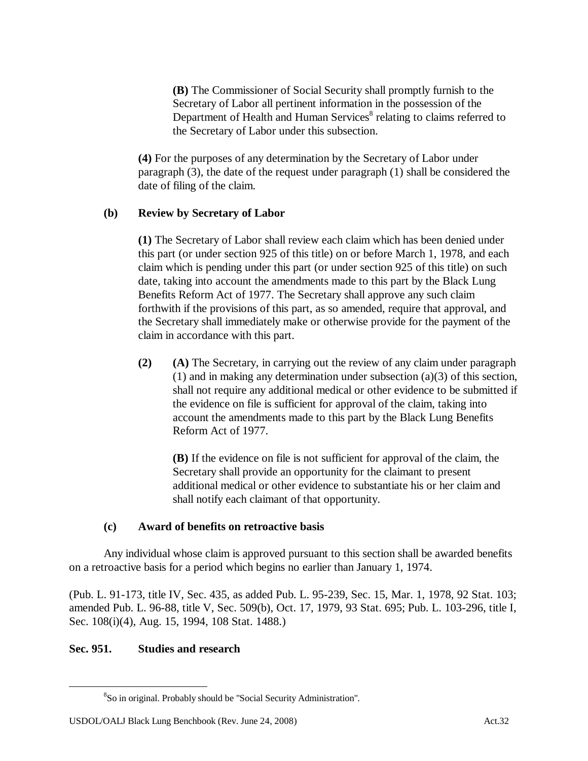**(B)** The Commissioner of Social Security shall promptly furnish to the Secretary of Labor all pertinent information in the possession of the Department of Health and Human Services<sup>8</sup> relating to claims referred to the Secretary of Labor under this subsection.

**(4)** For the purposes of any determination by the Secretary of Labor under paragraph (3), the date of the request under paragraph (1) shall be considered the date of filing of the claim.

#### **(b) Review by Secretary of Labor**

**(1)** The Secretary of Labor shall review each claim which has been denied under this part (or under section 925 of this title) on or before March 1, 1978, and each claim which is pending under this part (or under section 925 of this title) on such date, taking into account the amendments made to this part by the Black Lung Benefits Reform Act of 1977. The Secretary shall approve any such claim forthwith if the provisions of this part, as so amended, require that approval, and the Secretary shall immediately make or otherwise provide for the payment of the claim in accordance with this part.

**(2) (A)** The Secretary, in carrying out the review of any claim under paragraph (1) and in making any determination under subsection (a)(3) of this section, shall not require any additional medical or other evidence to be submitted if the evidence on file is sufficient for approval of the claim, taking into account the amendments made to this part by the Black Lung Benefits Reform Act of 1977.

**(B)** If the evidence on file is not sufficient for approval of the claim, the Secretary shall provide an opportunity for the claimant to present additional medical or other evidence to substantiate his or her claim and shall notify each claimant of that opportunity.

## **(c) Award of benefits on retroactive basis**

Any individual whose claim is approved pursuant to this section shall be awarded benefits on a retroactive basis for a period which begins no earlier than January 1, 1974.

(Pub. L. 91-173, title IV, Sec. 435, as added Pub. L. 95-239, Sec. 15, Mar. 1, 1978, 92 Stat. 103; amended Pub. L. 96-88, title V, Sec. 509(b), Oct. 17, 1979, 93 Stat. 695; Pub. L. 103-296, title I, Sec. 108(i)(4), Aug. 15, 1994, 108 Stat. 1488.)

#### **Sec. 951. Studies and research**

<sup>8</sup> So in original. Probably should be "Social Security Administration".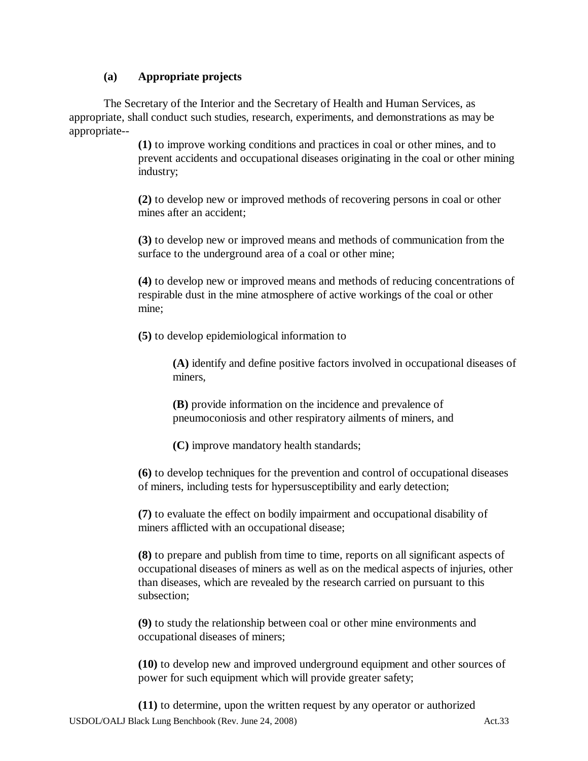#### **(a) Appropriate projects**

The Secretary of the Interior and the Secretary of Health and Human Services, as appropriate, shall conduct such studies, research, experiments, and demonstrations as may be appropriate--

> **(1)** to improve working conditions and practices in coal or other mines, and to prevent accidents and occupational diseases originating in the coal or other mining industry;

**(2)** to develop new or improved methods of recovering persons in coal or other mines after an accident;

**(3)** to develop new or improved means and methods of communication from the surface to the underground area of a coal or other mine;

**(4)** to develop new or improved means and methods of reducing concentrations of respirable dust in the mine atmosphere of active workings of the coal or other mine;

**(5)** to develop epidemiological information to

**(A)** identify and define positive factors involved in occupational diseases of miners,

**(B)** provide information on the incidence and prevalence of pneumoconiosis and other respiratory ailments of miners, and

**(C)** improve mandatory health standards;

**(6)** to develop techniques for the prevention and control of occupational diseases of miners, including tests for hypersusceptibility and early detection;

**(7)** to evaluate the effect on bodily impairment and occupational disability of miners afflicted with an occupational disease;

**(8)** to prepare and publish from time to time, reports on all significant aspects of occupational diseases of miners as well as on the medical aspects of injuries, other than diseases, which are revealed by the research carried on pursuant to this subsection;

**(9)** to study the relationship between coal or other mine environments and occupational diseases of miners;

**(10)** to develop new and improved underground equipment and other sources of power for such equipment which will provide greater safety;

USDOL/OALJ Black Lung Benchbook (Rev. June 24, 2008)  $Act.33$ **(11)** to determine, upon the written request by any operator or authorized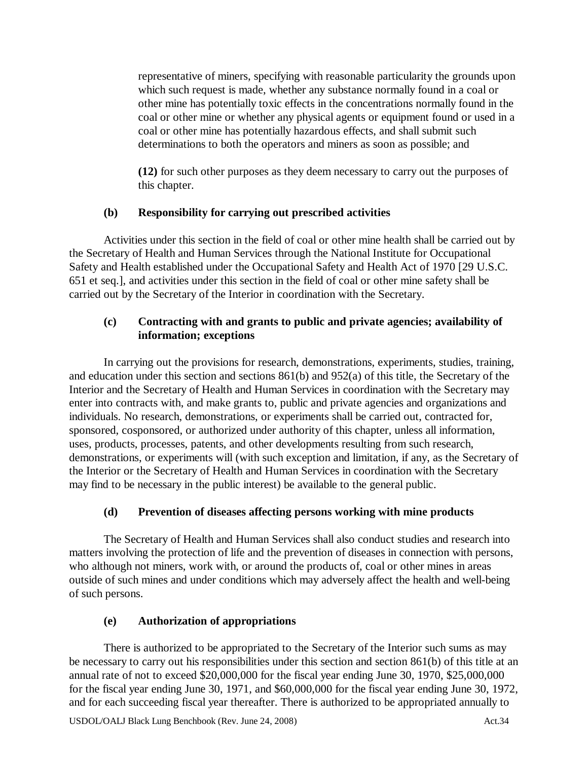representative of miners, specifying with reasonable particularity the grounds upon which such request is made, whether any substance normally found in a coal or other mine has potentially toxic effects in the concentrations normally found in the coal or other mine or whether any physical agents or equipment found or used in a coal or other mine has potentially hazardous effects, and shall submit such determinations to both the operators and miners as soon as possible; and

**(12)** for such other purposes as they deem necessary to carry out the purposes of this chapter.

## **(b) Responsibility for carrying out prescribed activities**

Activities under this section in the field of coal or other mine health shall be carried out by the Secretary of Health and Human Services through the National Institute for Occupational Safety and Health established under the Occupational Safety and Health Act of 1970 [29 U.S.C. 651 et seq.], and activities under this section in the field of coal or other mine safety shall be carried out by the Secretary of the Interior in coordination with the Secretary.

# **(c) Contracting with and grants to public and private agencies; availability of information; exceptions**

In carrying out the provisions for research, demonstrations, experiments, studies, training, and education under this section and sections 861(b) and 952(a) of this title, the Secretary of the Interior and the Secretary of Health and Human Services in coordination with the Secretary may enter into contracts with, and make grants to, public and private agencies and organizations and individuals. No research, demonstrations, or experiments shall be carried out, contracted for, sponsored, cosponsored, or authorized under authority of this chapter, unless all information, uses, products, processes, patents, and other developments resulting from such research, demonstrations, or experiments will (with such exception and limitation, if any, as the Secretary of the Interior or the Secretary of Health and Human Services in coordination with the Secretary may find to be necessary in the public interest) be available to the general public.

# **(d) Prevention of diseases affecting persons working with mine products**

The Secretary of Health and Human Services shall also conduct studies and research into matters involving the protection of life and the prevention of diseases in connection with persons, who although not miners, work with, or around the products of, coal or other mines in areas outside of such mines and under conditions which may adversely affect the health and well-being of such persons.

# **(e) Authorization of appropriations**

There is authorized to be appropriated to the Secretary of the Interior such sums as may be necessary to carry out his responsibilities under this section and section 861(b) of this title at an annual rate of not to exceed \$20,000,000 for the fiscal year ending June 30, 1970, \$25,000,000 for the fiscal year ending June 30, 1971, and \$60,000,000 for the fiscal year ending June 30, 1972, and for each succeeding fiscal year thereafter. There is authorized to be appropriated annually to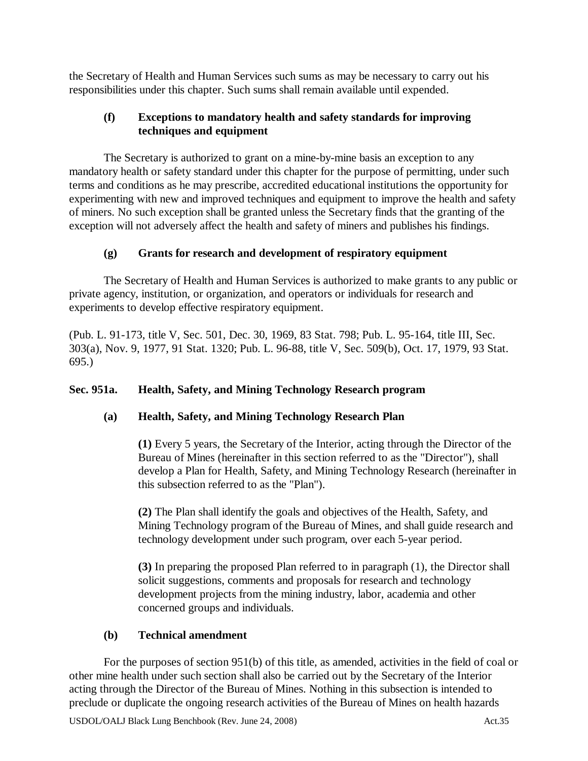the Secretary of Health and Human Services such sums as may be necessary to carry out his responsibilities under this chapter. Such sums shall remain available until expended.

## **(f) Exceptions to mandatory health and safety standards for improving techniques and equipment**

The Secretary is authorized to grant on a mine-by-mine basis an exception to any mandatory health or safety standard under this chapter for the purpose of permitting, under such terms and conditions as he may prescribe, accredited educational institutions the opportunity for experimenting with new and improved techniques and equipment to improve the health and safety of miners. No such exception shall be granted unless the Secretary finds that the granting of the exception will not adversely affect the health and safety of miners and publishes his findings.

# **(g) Grants for research and development of respiratory equipment**

The Secretary of Health and Human Services is authorized to make grants to any public or private agency, institution, or organization, and operators or individuals for research and experiments to develop effective respiratory equipment.

(Pub. L. 91-173, title V, Sec. 501, Dec. 30, 1969, 83 Stat. 798; Pub. L. 95-164, title III, Sec. 303(a), Nov. 9, 1977, 91 Stat. 1320; Pub. L. 96-88, title V, Sec. 509(b), Oct. 17, 1979, 93 Stat. 695.)

## **Sec. 951a. Health, Safety, and Mining Technology Research program**

## **(a) Health, Safety, and Mining Technology Research Plan**

**(1)** Every 5 years, the Secretary of the Interior, acting through the Director of the Bureau of Mines (hereinafter in this section referred to as the "Director"), shall develop a Plan for Health, Safety, and Mining Technology Research (hereinafter in this subsection referred to as the "Plan").

**(2)** The Plan shall identify the goals and objectives of the Health, Safety, and Mining Technology program of the Bureau of Mines, and shall guide research and technology development under such program, over each 5-year period.

**(3)** In preparing the proposed Plan referred to in paragraph (1), the Director shall solicit suggestions, comments and proposals for research and technology development projects from the mining industry, labor, academia and other concerned groups and individuals.

## **(b) Technical amendment**

For the purposes of section 951(b) of this title, as amended, activities in the field of coal or other mine health under such section shall also be carried out by the Secretary of the Interior acting through the Director of the Bureau of Mines. Nothing in this subsection is intended to preclude or duplicate the ongoing research activities of the Bureau of Mines on health hazards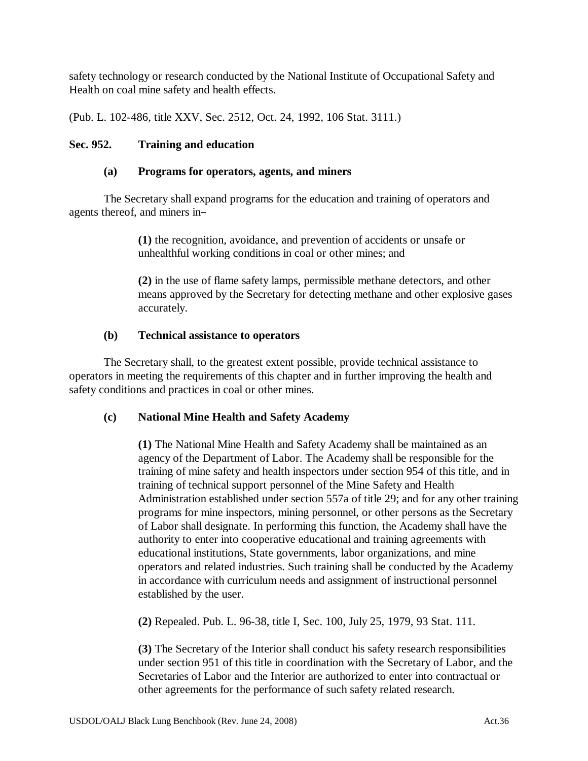safety technology or research conducted by the National Institute of Occupational Safety and Health on coal mine safety and health effects.

(Pub. L. 102-486, title XXV, Sec. 2512, Oct. 24, 1992, 106 Stat. 3111.)

#### **Sec. 952. Training and education**

#### **(a) Programs for operators, agents, and miners**

The Secretary shall expand programs for the education and training of operators and agents thereof, and miners in-

> **(1)** the recognition, avoidance, and prevention of accidents or unsafe or unhealthful working conditions in coal or other mines; and

**(2)** in the use of flame safety lamps, permissible methane detectors, and other means approved by the Secretary for detecting methane and other explosive gases accurately.

#### **(b) Technical assistance to operators**

The Secretary shall, to the greatest extent possible, provide technical assistance to operators in meeting the requirements of this chapter and in further improving the health and safety conditions and practices in coal or other mines.

#### **(c) National Mine Health and Safety Academy**

**(1)** The National Mine Health and Safety Academy shall be maintained as an agency of the Department of Labor. The Academy shall be responsible for the training of mine safety and health inspectors under section 954 of this title, and in training of technical support personnel of the Mine Safety and Health Administration established under section 557a of title 29; and for any other training programs for mine inspectors, mining personnel, or other persons as the Secretary of Labor shall designate. In performing this function, the Academy shall have the authority to enter into cooperative educational and training agreements with educational institutions, State governments, labor organizations, and mine operators and related industries. Such training shall be conducted by the Academy in accordance with curriculum needs and assignment of instructional personnel established by the user.

**(2)** Repealed. Pub. L. 96-38, title I, Sec. 100, July 25, 1979, 93 Stat. 111.

**(3)** The Secretary of the Interior shall conduct his safety research responsibilities under section 951 of this title in coordination with the Secretary of Labor, and the Secretaries of Labor and the Interior are authorized to enter into contractual or other agreements for the performance of such safety related research.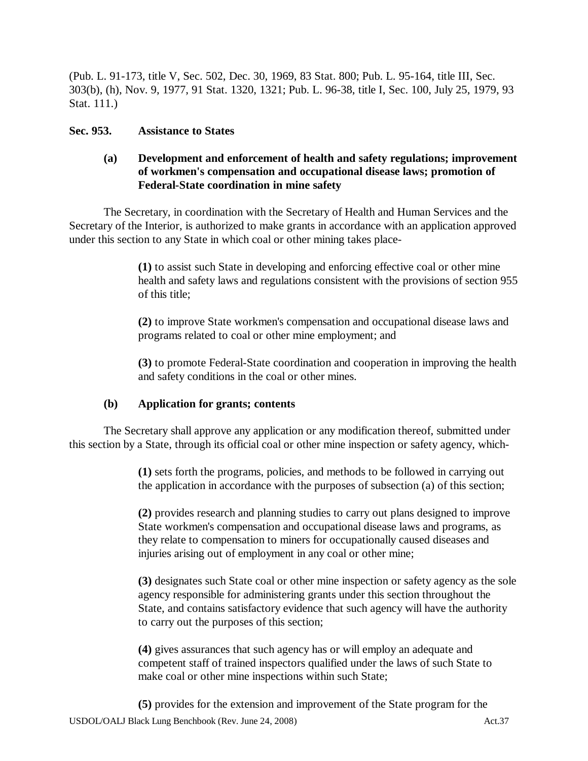(Pub. L. 91-173, title V, Sec. 502, Dec. 30, 1969, 83 Stat. 800; Pub. L. 95-164, title III, Sec. 303(b), (h), Nov. 9, 1977, 91 Stat. 1320, 1321; Pub. L. 96-38, title I, Sec. 100, July 25, 1979, 93 Stat. 111.)

#### **Sec. 953. Assistance to States**

## **(a) Development and enforcement of health and safety regulations; improvement of workmen's compensation and occupational disease laws; promotion of Federal-State coordination in mine safety**

The Secretary, in coordination with the Secretary of Health and Human Services and the Secretary of the Interior, is authorized to make grants in accordance with an application approved under this section to any State in which coal or other mining takes place-

> **(1)** to assist such State in developing and enforcing effective coal or other mine health and safety laws and regulations consistent with the provisions of section 955 of this title;

**(2)** to improve State workmen's compensation and occupational disease laws and programs related to coal or other mine employment; and

**(3)** to promote Federal-State coordination and cooperation in improving the health and safety conditions in the coal or other mines.

#### **(b) Application for grants; contents**

The Secretary shall approve any application or any modification thereof, submitted under this section by a State, through its official coal or other mine inspection or safety agency, which-

> **(1)** sets forth the programs, policies, and methods to be followed in carrying out the application in accordance with the purposes of subsection (a) of this section;

**(2)** provides research and planning studies to carry out plans designed to improve State workmen's compensation and occupational disease laws and programs, as they relate to compensation to miners for occupationally caused diseases and injuries arising out of employment in any coal or other mine;

**(3)** designates such State coal or other mine inspection or safety agency as the sole agency responsible for administering grants under this section throughout the State, and contains satisfactory evidence that such agency will have the authority to carry out the purposes of this section;

**(4)** gives assurances that such agency has or will employ an adequate and competent staff of trained inspectors qualified under the laws of such State to make coal or other mine inspections within such State;

USDOL/OALJ Black Lung Benchbook (Rev. June 24, 2008)  $Act.37$ **(5)** provides for the extension and improvement of the State program for the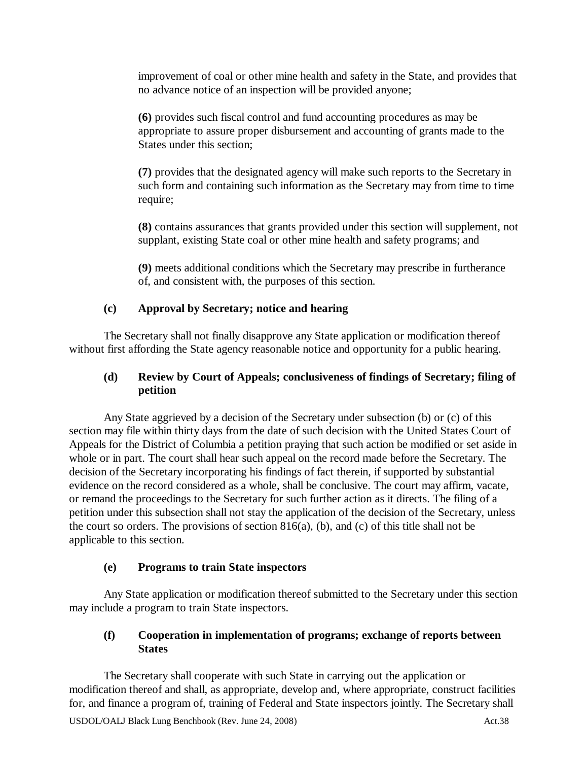improvement of coal or other mine health and safety in the State, and provides that no advance notice of an inspection will be provided anyone;

**(6)** provides such fiscal control and fund accounting procedures as may be appropriate to assure proper disbursement and accounting of grants made to the States under this section;

**(7)** provides that the designated agency will make such reports to the Secretary in such form and containing such information as the Secretary may from time to time require;

**(8)** contains assurances that grants provided under this section will supplement, not supplant, existing State coal or other mine health and safety programs; and

**(9)** meets additional conditions which the Secretary may prescribe in furtherance of, and consistent with, the purposes of this section.

# **(c) Approval by Secretary; notice and hearing**

The Secretary shall not finally disapprove any State application or modification thereof without first affording the State agency reasonable notice and opportunity for a public hearing.

# **(d) Review by Court of Appeals; conclusiveness of findings of Secretary; filing of petition**

Any State aggrieved by a decision of the Secretary under subsection (b) or (c) of this section may file within thirty days from the date of such decision with the United States Court of Appeals for the District of Columbia a petition praying that such action be modified or set aside in whole or in part. The court shall hear such appeal on the record made before the Secretary. The decision of the Secretary incorporating his findings of fact therein, if supported by substantial evidence on the record considered as a whole, shall be conclusive. The court may affirm, vacate, or remand the proceedings to the Secretary for such further action as it directs. The filing of a petition under this subsection shall not stay the application of the decision of the Secretary, unless the court so orders. The provisions of section 816(a), (b), and (c) of this title shall not be applicable to this section.

# **(e) Programs to train State inspectors**

Any State application or modification thereof submitted to the Secretary under this section may include a program to train State inspectors.

# **(f) Cooperation in implementation of programs; exchange of reports between States**

The Secretary shall cooperate with such State in carrying out the application or modification thereof and shall, as appropriate, develop and, where appropriate, construct facilities for, and finance a program of, training of Federal and State inspectors jointly. The Secretary shall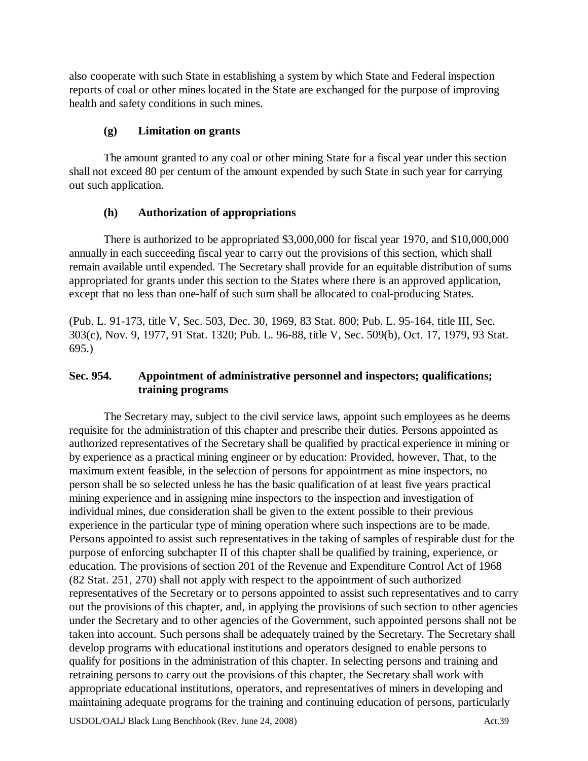also cooperate with such State in establishing a system by which State and Federal inspection reports of coal or other mines located in the State are exchanged for the purpose of improving health and safety conditions in such mines.

## **(g) Limitation on grants**

The amount granted to any coal or other mining State for a fiscal year under this section shall not exceed 80 per centum of the amount expended by such State in such year for carrying out such application.

# **(h) Authorization of appropriations**

There is authorized to be appropriated \$3,000,000 for fiscal year 1970, and \$10,000,000 annually in each succeeding fiscal year to carry out the provisions of this section, which shall remain available until expended. The Secretary shall provide for an equitable distribution of sums appropriated for grants under this section to the States where there is an approved application, except that no less than one-half of such sum shall be allocated to coal-producing States.

(Pub. L. 91-173, title V, Sec. 503, Dec. 30, 1969, 83 Stat. 800; Pub. L. 95-164, title III, Sec. 303(c), Nov. 9, 1977, 91 Stat. 1320; Pub. L. 96-88, title V, Sec. 509(b), Oct. 17, 1979, 93 Stat. 695.)

# **Sec. 954. Appointment of administrative personnel and inspectors; qualifications; training programs**

The Secretary may, subject to the civil service laws, appoint such employees as he deems requisite for the administration of this chapter and prescribe their duties. Persons appointed as authorized representatives of the Secretary shall be qualified by practical experience in mining or by experience as a practical mining engineer or by education: Provided, however, That, to the maximum extent feasible, in the selection of persons for appointment as mine inspectors, no person shall be so selected unless he has the basic qualification of at least five years practical mining experience and in assigning mine inspectors to the inspection and investigation of individual mines, due consideration shall be given to the extent possible to their previous experience in the particular type of mining operation where such inspections are to be made. Persons appointed to assist such representatives in the taking of samples of respirable dust for the purpose of enforcing subchapter II of this chapter shall be qualified by training, experience, or education. The provisions of section 201 of the Revenue and Expenditure Control Act of 1968 (82 Stat. 251, 270) shall not apply with respect to the appointment of such authorized representatives of the Secretary or to persons appointed to assist such representatives and to carry out the provisions of this chapter, and, in applying the provisions of such section to other agencies under the Secretary and to other agencies of the Government, such appointed persons shall not be taken into account. Such persons shall be adequately trained by the Secretary. The Secretary shall develop programs with educational institutions and operators designed to enable persons to qualify for positions in the administration of this chapter. In selecting persons and training and retraining persons to carry out the provisions of this chapter, the Secretary shall work with appropriate educational institutions, operators, and representatives of miners in developing and maintaining adequate programs for the training and continuing education of persons, particularly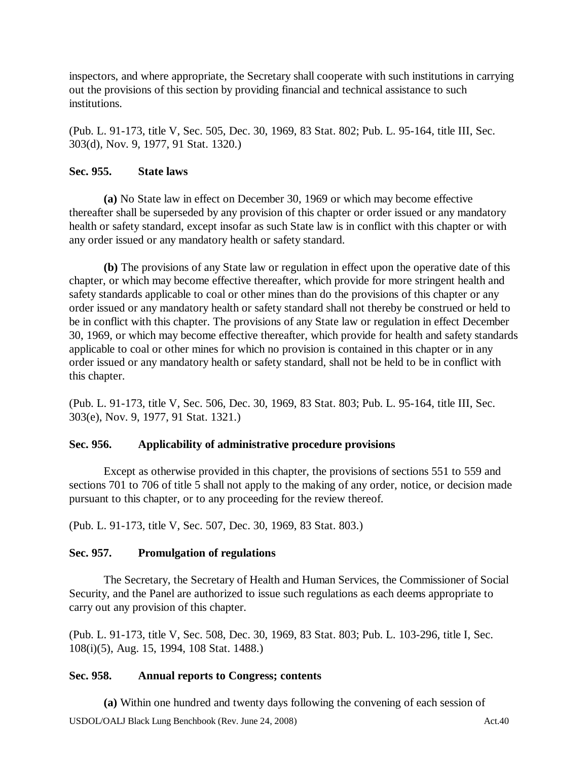inspectors, and where appropriate, the Secretary shall cooperate with such institutions in carrying out the provisions of this section by providing financial and technical assistance to such institutions.

(Pub. L. 91-173, title V, Sec. 505, Dec. 30, 1969, 83 Stat. 802; Pub. L. 95-164, title III, Sec. 303(d), Nov. 9, 1977, 91 Stat. 1320.)

## **Sec. 955. State laws**

**(a)** No State law in effect on December 30, 1969 or which may become effective thereafter shall be superseded by any provision of this chapter or order issued or any mandatory health or safety standard, except insofar as such State law is in conflict with this chapter or with any order issued or any mandatory health or safety standard.

**(b)** The provisions of any State law or regulation in effect upon the operative date of this chapter, or which may become effective thereafter, which provide for more stringent health and safety standards applicable to coal or other mines than do the provisions of this chapter or any order issued or any mandatory health or safety standard shall not thereby be construed or held to be in conflict with this chapter. The provisions of any State law or regulation in effect December 30, 1969, or which may become effective thereafter, which provide for health and safety standards applicable to coal or other mines for which no provision is contained in this chapter or in any order issued or any mandatory health or safety standard, shall not be held to be in conflict with this chapter.

(Pub. L. 91-173, title V, Sec. 506, Dec. 30, 1969, 83 Stat. 803; Pub. L. 95-164, title III, Sec. 303(e), Nov. 9, 1977, 91 Stat. 1321.)

# **Sec. 956. Applicability of administrative procedure provisions**

Except as otherwise provided in this chapter, the provisions of sections 551 to 559 and sections 701 to 706 of title 5 shall not apply to the making of any order, notice, or decision made pursuant to this chapter, or to any proceeding for the review thereof.

(Pub. L. 91-173, title V, Sec. 507, Dec. 30, 1969, 83 Stat. 803.)

# **Sec. 957. Promulgation of regulations**

The Secretary, the Secretary of Health and Human Services, the Commissioner of Social Security, and the Panel are authorized to issue such regulations as each deems appropriate to carry out any provision of this chapter.

(Pub. L. 91-173, title V, Sec. 508, Dec. 30, 1969, 83 Stat. 803; Pub. L. 103-296, title I, Sec. 108(i)(5), Aug. 15, 1994, 108 Stat. 1488.)

## **Sec. 958. Annual reports to Congress; contents**

USDOL/OALJ Black Lung Benchbook (Rev. June 24, 2008)  $Act.40$ **(a)** Within one hundred and twenty days following the convening of each session of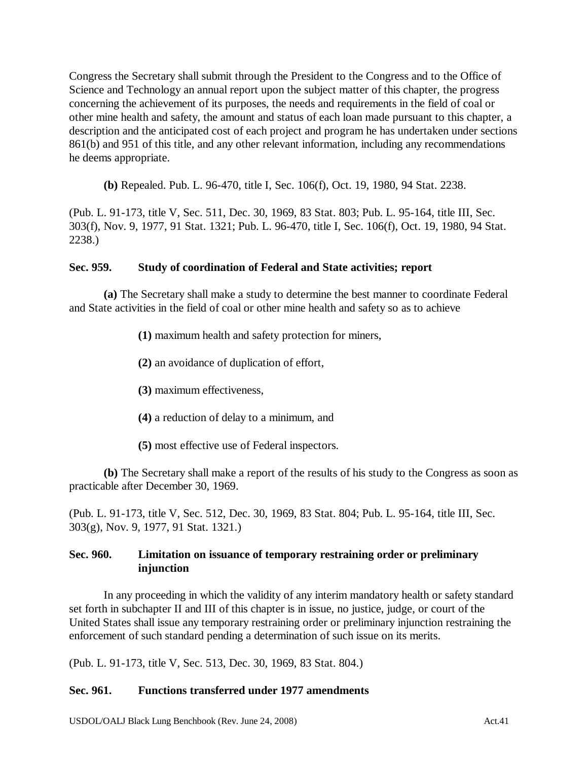Congress the Secretary shall submit through the President to the Congress and to the Office of Science and Technology an annual report upon the subject matter of this chapter, the progress concerning the achievement of its purposes, the needs and requirements in the field of coal or other mine health and safety, the amount and status of each loan made pursuant to this chapter, a description and the anticipated cost of each project and program he has undertaken under sections 861(b) and 951 of this title, and any other relevant information, including any recommendations he deems appropriate.

**(b)** Repealed. Pub. L. 96-470, title I, Sec. 106(f), Oct. 19, 1980, 94 Stat. 2238.

(Pub. L. 91-173, title V, Sec. 511, Dec. 30, 1969, 83 Stat. 803; Pub. L. 95-164, title III, Sec. 303(f), Nov. 9, 1977, 91 Stat. 1321; Pub. L. 96-470, title I, Sec. 106(f), Oct. 19, 1980, 94 Stat. 2238.)

## **Sec. 959. Study of coordination of Federal and State activities; report**

**(a)** The Secretary shall make a study to determine the best manner to coordinate Federal and State activities in the field of coal or other mine health and safety so as to achieve

**(1)** maximum health and safety protection for miners,

- **(2)** an avoidance of duplication of effort,
- **(3)** maximum effectiveness,
- **(4)** a reduction of delay to a minimum, and
- **(5)** most effective use of Federal inspectors.

**(b)** The Secretary shall make a report of the results of his study to the Congress as soon as practicable after December 30, 1969.

(Pub. L. 91-173, title V, Sec. 512, Dec. 30, 1969, 83 Stat. 804; Pub. L. 95-164, title III, Sec. 303(g), Nov. 9, 1977, 91 Stat. 1321.)

## **Sec. 960. Limitation on issuance of temporary restraining order or preliminary injunction**

In any proceeding in which the validity of any interim mandatory health or safety standard set forth in subchapter II and III of this chapter is in issue, no justice, judge, or court of the United States shall issue any temporary restraining order or preliminary injunction restraining the enforcement of such standard pending a determination of such issue on its merits.

(Pub. L. 91-173, title V, Sec. 513, Dec. 30, 1969, 83 Stat. 804.)

#### **Sec. 961. Functions transferred under 1977 amendments**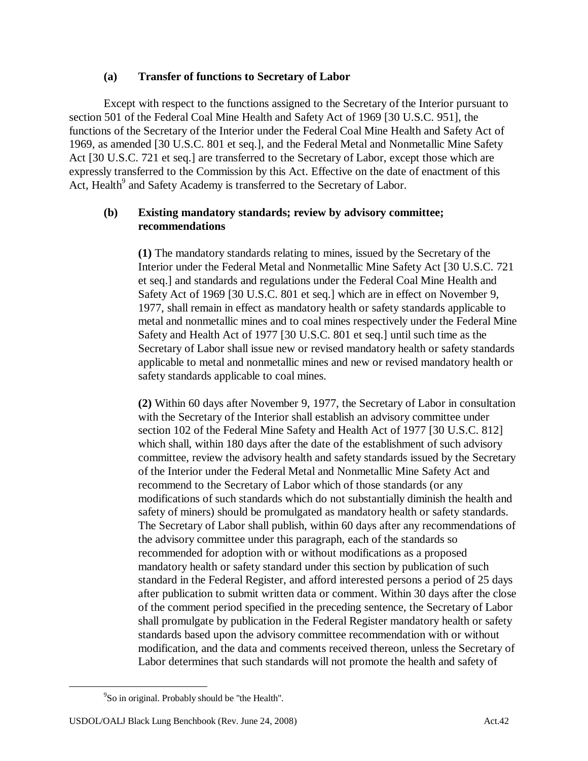#### **(a) Transfer of functions to Secretary of Labor**

Except with respect to the functions assigned to the Secretary of the Interior pursuant to section 501 of the Federal Coal Mine Health and Safety Act of 1969 [30 U.S.C. 951], the functions of the Secretary of the Interior under the Federal Coal Mine Health and Safety Act of 1969, as amended [30 U.S.C. 801 et seq.], and the Federal Metal and Nonmetallic Mine Safety Act [30 U.S.C. 721 et seq.] are transferred to the Secretary of Labor, except those which are expressly transferred to the Commission by this Act. Effective on the date of enactment of this Act, Health<sup>9</sup> and Safety Academy is transferred to the Secretary of Labor.

#### **(b) Existing mandatory standards; review by advisory committee; recommendations**

**(1)** The mandatory standards relating to mines, issued by the Secretary of the Interior under the Federal Metal and Nonmetallic Mine Safety Act [30 U.S.C. 721 et seq.] and standards and regulations under the Federal Coal Mine Health and Safety Act of 1969 [30 U.S.C. 801 et seq.] which are in effect on November 9, 1977, shall remain in effect as mandatory health or safety standards applicable to metal and nonmetallic mines and to coal mines respectively under the Federal Mine Safety and Health Act of 1977 [30 U.S.C. 801 et seq.] until such time as the Secretary of Labor shall issue new or revised mandatory health or safety standards applicable to metal and nonmetallic mines and new or revised mandatory health or safety standards applicable to coal mines.

**(2)** Within 60 days after November 9, 1977, the Secretary of Labor in consultation with the Secretary of the Interior shall establish an advisory committee under section 102 of the Federal Mine Safety and Health Act of 1977 [30 U.S.C. 812] which shall, within 180 days after the date of the establishment of such advisory committee, review the advisory health and safety standards issued by the Secretary of the Interior under the Federal Metal and Nonmetallic Mine Safety Act and recommend to the Secretary of Labor which of those standards (or any modifications of such standards which do not substantially diminish the health and safety of miners) should be promulgated as mandatory health or safety standards. The Secretary of Labor shall publish, within 60 days after any recommendations of the advisory committee under this paragraph, each of the standards so recommended for adoption with or without modifications as a proposed mandatory health or safety standard under this section by publication of such standard in the Federal Register, and afford interested persons a period of 25 days after publication to submit written data or comment. Within 30 days after the close of the comment period specified in the preceding sentence, the Secretary of Labor shall promulgate by publication in the Federal Register mandatory health or safety standards based upon the advisory committee recommendation with or without modification, and the data and comments received thereon, unless the Secretary of Labor determines that such standards will not promote the health and safety of

<sup>&</sup>lt;sup>9</sup>So in original. Probably should be "the Health".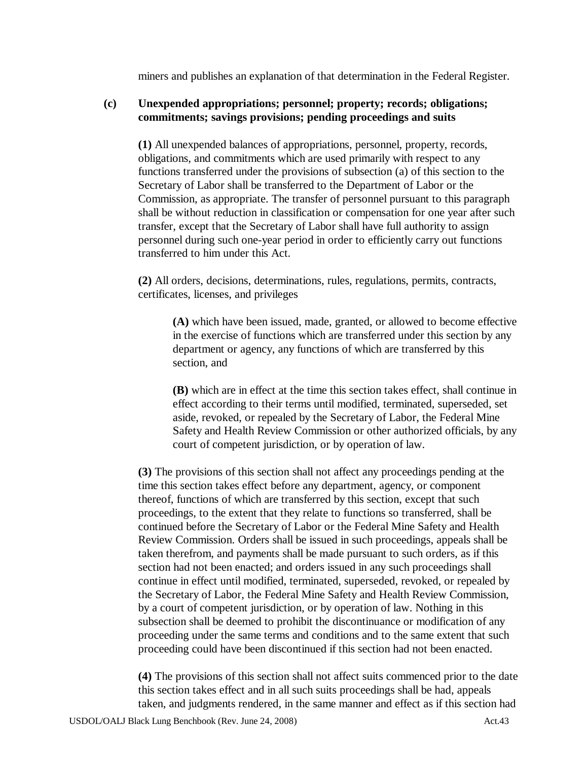miners and publishes an explanation of that determination in the Federal Register.

#### **(c) Unexpended appropriations; personnel; property; records; obligations; commitments; savings provisions; pending proceedings and suits**

**(1)** All unexpended balances of appropriations, personnel, property, records, obligations, and commitments which are used primarily with respect to any functions transferred under the provisions of subsection (a) of this section to the Secretary of Labor shall be transferred to the Department of Labor or the Commission, as appropriate. The transfer of personnel pursuant to this paragraph shall be without reduction in classification or compensation for one year after such transfer, except that the Secretary of Labor shall have full authority to assign personnel during such one-year period in order to efficiently carry out functions transferred to him under this Act.

**(2)** All orders, decisions, determinations, rules, regulations, permits, contracts, certificates, licenses, and privileges

**(A)** which have been issued, made, granted, or allowed to become effective in the exercise of functions which are transferred under this section by any department or agency, any functions of which are transferred by this section, and

**(B)** which are in effect at the time this section takes effect, shall continue in effect according to their terms until modified, terminated, superseded, set aside, revoked, or repealed by the Secretary of Labor, the Federal Mine Safety and Health Review Commission or other authorized officials, by any court of competent jurisdiction, or by operation of law.

**(3)** The provisions of this section shall not affect any proceedings pending at the time this section takes effect before any department, agency, or component thereof, functions of which are transferred by this section, except that such proceedings, to the extent that they relate to functions so transferred, shall be continued before the Secretary of Labor or the Federal Mine Safety and Health Review Commission. Orders shall be issued in such proceedings, appeals shall be taken therefrom, and payments shall be made pursuant to such orders, as if this section had not been enacted; and orders issued in any such proceedings shall continue in effect until modified, terminated, superseded, revoked, or repealed by the Secretary of Labor, the Federal Mine Safety and Health Review Commission, by a court of competent jurisdiction, or by operation of law. Nothing in this subsection shall be deemed to prohibit the discontinuance or modification of any proceeding under the same terms and conditions and to the same extent that such proceeding could have been discontinued if this section had not been enacted.

**(4)** The provisions of this section shall not affect suits commenced prior to the date this section takes effect and in all such suits proceedings shall be had, appeals taken, and judgments rendered, in the same manner and effect as if this section had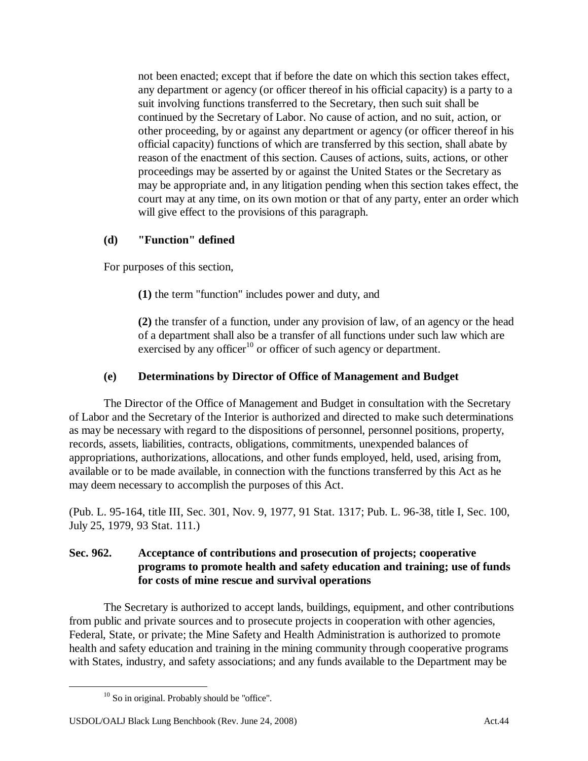not been enacted; except that if before the date on which this section takes effect, any department or agency (or officer thereof in his official capacity) is a party to a suit involving functions transferred to the Secretary, then such suit shall be continued by the Secretary of Labor. No cause of action, and no suit, action, or other proceeding, by or against any department or agency (or officer thereof in his official capacity) functions of which are transferred by this section, shall abate by reason of the enactment of this section. Causes of actions, suits, actions, or other proceedings may be asserted by or against the United States or the Secretary as may be appropriate and, in any litigation pending when this section takes effect, the court may at any time, on its own motion or that of any party, enter an order which will give effect to the provisions of this paragraph.

## **(d) "Function" defined**

For purposes of this section,

**(1)** the term "function" includes power and duty, and

**(2)** the transfer of a function, under any provision of law, of an agency or the head of a department shall also be a transfer of all functions under such law which are exercised by any officer<sup>10</sup> or officer of such agency or department.

## **(e) Determinations by Director of Office of Management and Budget**

The Director of the Office of Management and Budget in consultation with the Secretary of Labor and the Secretary of the Interior is authorized and directed to make such determinations as may be necessary with regard to the dispositions of personnel, personnel positions, property, records, assets, liabilities, contracts, obligations, commitments, unexpended balances of appropriations, authorizations, allocations, and other funds employed, held, used, arising from, available or to be made available, in connection with the functions transferred by this Act as he may deem necessary to accomplish the purposes of this Act.

(Pub. L. 95-164, title III, Sec. 301, Nov. 9, 1977, 91 Stat. 1317; Pub. L. 96-38, title I, Sec. 100, July 25, 1979, 93 Stat. 111.)

# **Sec. 962. Acceptance of contributions and prosecution of projects; cooperative programs to promote health and safety education and training; use of funds for costs of mine rescue and survival operations**

The Secretary is authorized to accept lands, buildings, equipment, and other contributions from public and private sources and to prosecute projects in cooperation with other agencies, Federal, State, or private; the Mine Safety and Health Administration is authorized to promote health and safety education and training in the mining community through cooperative programs with States, industry, and safety associations; and any funds available to the Department may be

 $10$  So in original. Probably should be "office".